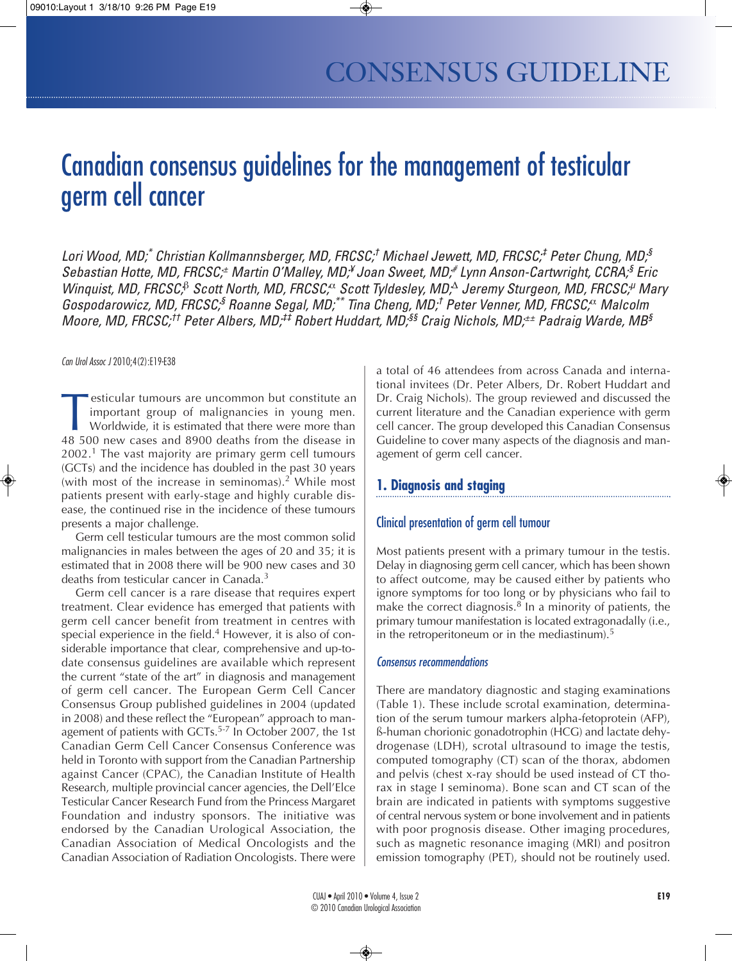# CONSENSUS GUIDELINE

# Canadian consensus guidelines for the management of testicular germ cell cancer

Lori Wood, MD;\* Christian Kollmannsberger, MD, FRCSC;† Michael Jewett, MD, FRCSC;‡ Peter Chung, MD;§ Sebastian Hotte, MD, FRCSC;<sup>±</sup> Martin O'Malley, MD;¥ Joan Sweet, MD;<sup>#</sup> Lynn Anson-Cartwright, CCRA;<sup>§</sup> Eric *Winquist, MD, FRCSC;* <sup>β</sup> *Scott North, MD, FRCSC;* <sup>α</sup> *Scott Tyldesley, MD;* <sup>Δ</sup> *Jeremy Sturgeon, MD, FRCSC; <sup>µ</sup> Mary Gospodarowicz, MD, FRCSC; § Roanne Segal, MD; \*\* Tina Cheng, MD; † Peter Venner, MD, FRCSC;* <sup>α</sup> *Malcolm* Moore, MD, FRCSC;<sup>tt</sup> Peter Albers, MD;<sup>tt</sup> Robert Huddart, MD;<sup>ss</sup> Craig Nichols, MD;<sup>±±</sup> Padraig Warde, MB<sup>s</sup>

#### *Can Urol Assoc J* 2010;4(2):E19-E38

esticular tumours are uncommon but constitute an important group of malignancies in young men. Worldwide, it is estimated that there were more than 48 500 new cases and 8900 deaths from the disease in 2002. <sup>1</sup> The vast majority are primary germ cell tumours (GCTs) and the incidence has doubled in the past 30 years (with most of the increase in seminomas). <sup>2</sup> While most patients present with early-stage and highly curable disease, the continued rise in the incidence of these tumours presents a major challenge.

Germ cell testicular tumours are the most common solid malignancies in males between the ages of 20 and 35; it is estimated that in 2008 there will be 900 new cases and 30 deaths from testicular cancer in Canada.<sup>3</sup>

Germ cell cancer is a rare disease that requires expert treatment. Clear evidence has emerged that patients with germ cell cancer benefit from treatment in centres with special experience in the field. <sup>4</sup> However, it is also of considerable importance that clear, comprehensive and up-todate consensus guidelines are available which represent the current "state of the art" in diagnosis and management of germ cell cancer. The European Germ Cell Cancer Consensus Group published guidelines in 2004 (updated in 2008) and these reflect the "European" approach to management of patients with GCTs.<sup>5-7</sup> In October 2007, the 1st Canadian Germ Cell Cancer Consensus Conference was held in Toronto with support from the Canadian Partnership against Cancer (CPAC), the Canadian Institute of Health Research, multiple provincial cancer agencies, the Dell'Elce Testicular Cancer Research Fund from the Princess Margaret Foundation and industry sponsors. The initiative was endorsed by the Canadian Urological Association, the Canadian Association of Medical Oncologists and the Canadian Association of Radiation Oncologists. There were a total of 46 attendees from across Canada and international invitees (Dr. Peter Albers, Dr. Robert Huddart and Dr. Craig Nichols). The group reviewed and discussed the current literature and the Canadian experience with germ cell cancer. The group developed this Canadian Consensus Guideline to cover many aspects of the diagnosis and management of germ cell cancer.

# **1. Diagnosis and staging**

# Clinical presentation of germ cell tumour

Most patients present with a primary tumour in the testis. Delay in diagnosing germ cell cancer, which has been shown to affect outcome, may be caused either by patients who ignore symptoms for too long or by physicians who fail to make the correct diagnosis. <sup>8</sup> In a minority of patients, the primary tumour manifestation is located extragonadally (i.e., in the retroperitoneum or in the mediastinum). 5

### *Consensus recommendations*

There are mandatory diagnostic and staging examinations (Table 1). These include scrotal examination, determination of the serum tumour markers alpha-fetoprotein (AFP), ß-human chorionic gonadotrophin (HCG) and lactate dehydrogenase (LDH), scrotal ultrasound to image the testis, computed tomography (CT) scan of the thorax, abdomen and pelvis (chest x-ray should be used instead of CT thorax in stage I seminoma). Bone scan and CT scan of the brain are indicated in patients with symptoms suggestive of central nervous system or bone involvement and in patients with poor prognosis disease. Other imaging procedures, such as magnetic resonance imaging (MRI) and positron emission tomography (PET), should not be routinely used.

CUAJ • April 2010 • Volume 4, Issue 2 © 2010 Canadian Urological Association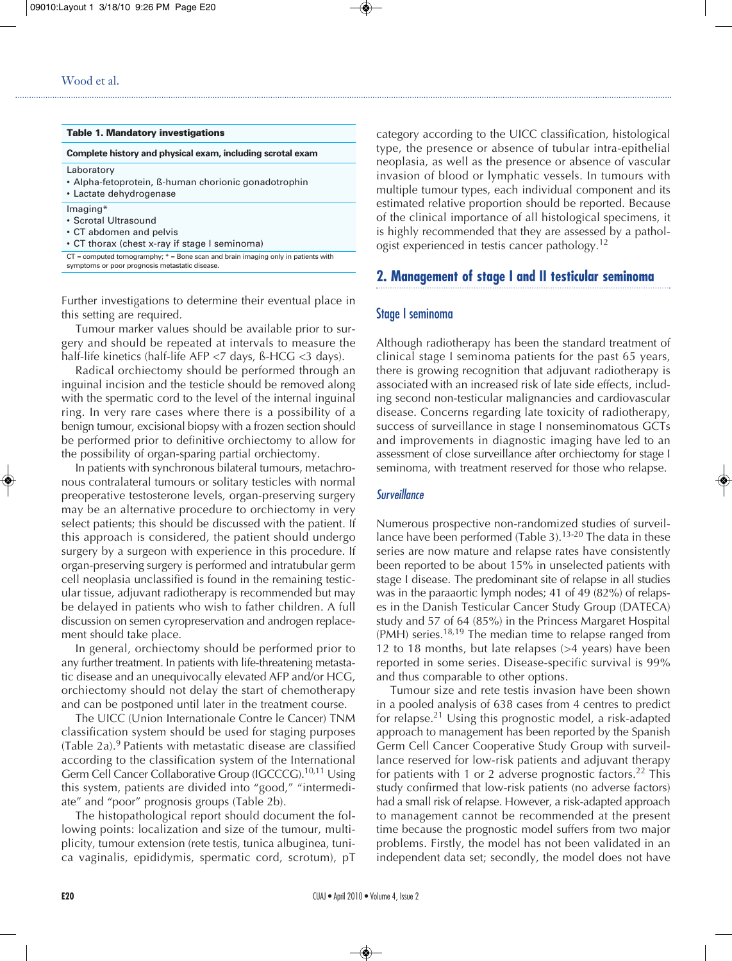#### **Table 1. Mandatory investigations**

#### **Complete history and physical exam, including scrotal exam**

- Laboratory
- Alpha-fetoprotein, ß-human chorionic gonadotrophin
- Lactate dehydrogenase

Imaging\*

- Scrotal Ultrasound
- CT abdomen and pelvis
- CT thorax (chest x-ray if stage I seminoma)

 $CT = computed tomography; * = Bone scan and brain imaging only in patients with$ symptoms or poor prognosis metastatic disease.

Further investigations to determine their eventual place in this setting are required.

Tumour marker values should be available prior to surgery and should be repeated at intervals to measure the half-life kinetics (half-life AFP <7 days, ß-HCG <3 days).

Radical orchiectomy should be performed through an inguinal incision and the testicle should be removed along with the spermatic cord to the level of the internal inguinal ring. In very rare cases where there is a possibility of a benign tumour, excisional biopsy with a frozen section should be performed prior to definitive orchiectomy to allow for the possibility of organ-sparing partial orchiectomy.

In patients with synchronous bilateral tumours, metachronous contralateral tumours or solitary testicles with normal preoperative testosterone levels, organ-preserving surgery may be an alternative procedure to orchiectomy in very select patients; this should be discussed with the patient. If this approach is considered, the patient should undergo surgery by a surgeon with experience in this procedure. If organ-preserving surgery is performed and intratubular germ cell neoplasia unclassified is found in the remaining testicular tissue, adjuvant radiotherapy is recommended but may be delayed in patients who wish to father children. A full discussion on semen cyropreservation and androgen replacement should take place.

In general, orchiectomy should be performed prior to any further treatment. In patients with life-threatening metastatic disease and an unequivocally elevated AFP and/or HCG, orchiectomy should not delay the start of chemotherapy and can be postponed until later in the treatment course.

The UICC (Union Internationale Contre le Cancer) TNM classification system should be used for staging purposes (Table 2a). <sup>9</sup> Patients with metastatic disease are classified according to the classification system of the International Germ Cell Cancer Collaborative Group (IGCCCG).<sup>10,11</sup> Using this system, patients are divided into "good," "intermediate" and "poor" prognosis groups (Table 2b).

The histopathological report should document the following points: localization and size of the tumour, multiplicity, tumour extension (rete testis, tunica albuginea, tunica vaginalis, epididymis, spermatic cord, scrotum), pT

category according to the UICC classification, histological type, the presence or absence of tubular intra-epithelial neoplasia, as well as the presence or absence of vascular invasion of blood or lymphatic vessels. In tumours with multiple tumour types, each individual component and its estimated relative proportion should be reported. Because of the clinical importance of all histological specimens, it is highly recommended that they are assessed by a pathologist experienced in testis cancer pathology. 12

# **2. Management of stage I and II testicular seminoma**

#### Stage I seminoma

Although radiotherapy has been the standard treatment of clinical stage I seminoma patients for the past 65 years, there is growing recognition that adjuvant radiotherapy is associated with an increased risk of late side effects, including second non-testicular malignancies and cardiovascular disease. Concerns regarding late toxicity of radiotherapy, success of surveillance in stage I nonseminomatous GCTs and improvements in diagnostic imaging have led to an assessment of close surveillance after orchiectomy for stage I seminoma, with treatment reserved for those who relapse.

#### *Surveillance*

Numerous prospective non-randomized studies of surveillance have been performed (Table 3).<sup>13-20</sup> The data in these series are now mature and relapse rates have consistently been reported to be about 15% in unselected patients with stage I disease. The predominant site of relapse in all studies was in the paraaortic lymph nodes; 41 of 49 (82%) of relapses in the Danish Testicular Cancer Study Group (DATECA) study and 57 of 64 (85%) in the Princess Margaret Hospital (PMH) series.<sup>18,19</sup> The median time to relapse ranged from 12 to 18 months, but late relapses (>4 years) have been reported in some series. Disease-specific survival is 99% and thus comparable to other options.

Tumour size and rete testis invasion have been shown in a pooled analysis of 638 cases from 4 centres to predict for relapse. <sup>21</sup> Using this prognostic model, a risk-adapted approach to management has been reported by the Spanish Germ Cell Cancer Cooperative Study Group with surveillance reserved for low-risk patients and adjuvant therapy for patients with 1 or 2 adverse prognostic factors.<sup>22</sup> This study confirmed that low-risk patients (no adverse factors) had a small risk of relapse. However, a risk-adapted approach to management cannot be recommended at the present time because the prognostic model suffers from two major problems. Firstly, the model has not been validated in an independent data set; secondly, the model does not have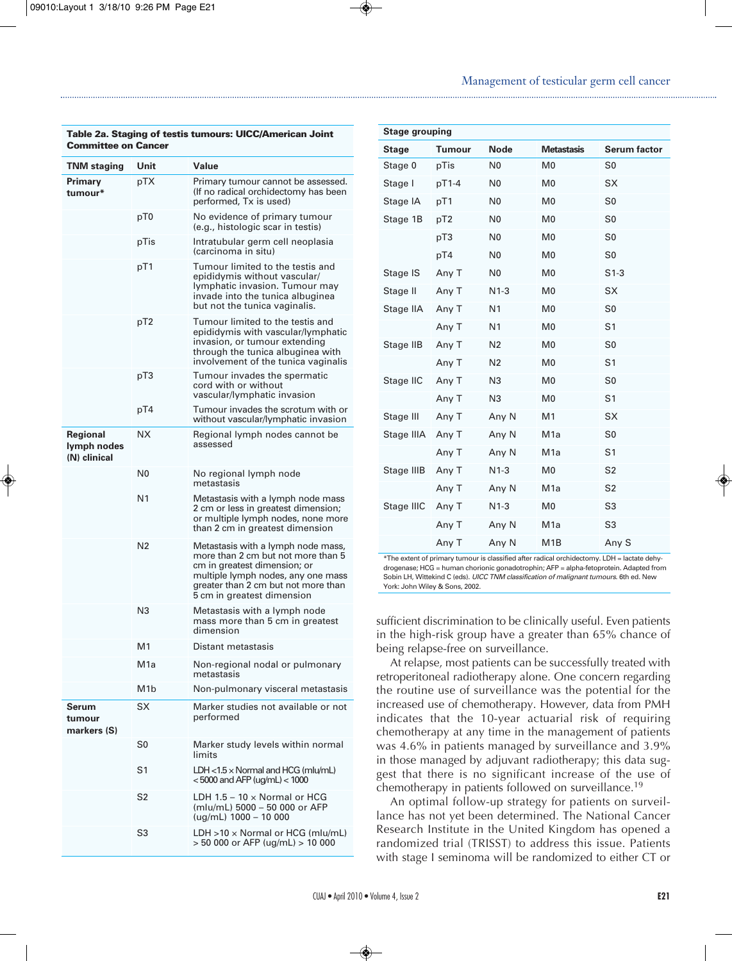#### **Table 2a. Staging of testis tumours: UICC/American Joint Committee on Cancer**

| <b>TNM staging</b>                      | Unit             | Value                                                                                                                                                                                                               |
|-----------------------------------------|------------------|---------------------------------------------------------------------------------------------------------------------------------------------------------------------------------------------------------------------|
|                                         |                  |                                                                                                                                                                                                                     |
| Primary<br>tumour*                      | pTX              | Primary tumour cannot be assessed.<br>(If no radical orchidectomy has been<br>performed, Tx is used)                                                                                                                |
|                                         | pT0              | No evidence of primary tumour<br>(e.g., histologic scar in testis)                                                                                                                                                  |
|                                         | pTis             | Intratubular germ cell neoplasia<br>(carcinoma in situ)                                                                                                                                                             |
|                                         | pT1              | Tumour limited to the testis and<br>epididymis without vascular/<br>lymphatic invasion. Tumour may<br>invade into the tunica albuginea<br>but not the tunica vaginalis.                                             |
|                                         | pT2              | Tumour limited to the testis and<br>epididymis with vascular/lymphatic<br>invasion, or tumour extending<br>through the tunica albuginea with<br>involvement of the tunica vaginalis                                 |
|                                         | pT3              | Tumour invades the spermatic<br>cord with or without<br>vascular/lymphatic invasion                                                                                                                                 |
|                                         | pT4              | Tumour invades the scrotum with or<br>without vascular/lymphatic invasion                                                                                                                                           |
| Regional<br>lymph nodes<br>(N) clinical | <b>NX</b>        | Regional lymph nodes cannot be<br>assessed                                                                                                                                                                          |
|                                         | N <sub>0</sub>   | No regional lymph node<br>metastasis                                                                                                                                                                                |
|                                         | N <sub>1</sub>   | Metastasis with a lymph node mass<br>2 cm or less in greatest dimension;<br>or multiple lymph nodes, none more<br>than 2 cm in greatest dimension                                                                   |
|                                         | N <sub>2</sub>   | Metastasis with a lymph node mass,<br>more than 2 cm but not more than 5<br>cm in greatest dimension; or<br>multiple lymph nodes, any one mass<br>greater than 2 cm but not more than<br>5 cm in greatest dimension |
|                                         | N <sub>3</sub>   | Metastasis with a lymph node<br>mass more than 5 cm in greatest<br>dimension                                                                                                                                        |
|                                         | M1               | Distant metastasis                                                                                                                                                                                                  |
|                                         | M <sub>1</sub> a | Non-regional nodal or pulmonary<br>metastasis                                                                                                                                                                       |
|                                         | M1b              | Non-pulmonary visceral metastasis                                                                                                                                                                                   |
| Serum<br>tumour<br>markers (S)          | SX               | Marker studies not available or not<br>performed                                                                                                                                                                    |
|                                         | S0               | Marker study levels within normal<br>limits                                                                                                                                                                         |
|                                         | S1               | LDH < $1.5 \times$ Normal and HCG (mlu/mL)<br>$<$ 5000 and AFP (ug/mL) $<$ 1000                                                                                                                                     |
|                                         | S2               | LDH $1.5 - 10 \times$ Normal or HCG<br>(mlu/mL) 5000 - 50 000 or AFP<br>$(uq/mL)$ 1000 - 10 000                                                                                                                     |
|                                         | S3               | LDH $>10 \times$ Normal or HCG (mlu/mL)<br>> 50 000 or AFP (ug/mL) > 10 000                                                                                                                                         |

| <b>Stage grouping</b> |                 |                |                   |                     |
|-----------------------|-----------------|----------------|-------------------|---------------------|
| <b>Stage</b>          | <b>Tumour</b>   | <b>Node</b>    | <b>Metastasis</b> | <b>Serum factor</b> |
| Stage 0               | pTis            | N <sub>0</sub> | M <sub>0</sub>    | S <sub>0</sub>      |
| Stage I               | pT1-4           | N <sub>0</sub> | M <sub>0</sub>    | <b>SX</b>           |
| Stage IA              | pT1             | N <sub>0</sub> | M <sub>0</sub>    | S <sub>0</sub>      |
| Stage 1B              | pT <sub>2</sub> | N <sub>0</sub> | M <sub>0</sub>    | S <sub>0</sub>      |
|                       | pT3             | N <sub>0</sub> | M <sub>0</sub>    | S <sub>0</sub>      |
|                       | pT4             | N <sub>0</sub> | M <sub>0</sub>    | S <sub>0</sub>      |
| Stage IS              | Any T           | N <sub>0</sub> | M <sub>0</sub>    | $S1-3$              |
| Stage II              | Any T           | $N1-3$         | M <sub>0</sub>    | <b>SX</b>           |
| Stage IIA             | Any T           | N <sub>1</sub> | M <sub>0</sub>    | S <sub>0</sub>      |
|                       | Any T           | N <sub>1</sub> | M <sub>0</sub>    | S <sub>1</sub>      |
| Stage IIB             | Any T           | N <sub>2</sub> | M <sub>0</sub>    | S <sub>0</sub>      |
|                       | Any T           | N <sub>2</sub> | M <sub>0</sub>    | S <sub>1</sub>      |
| Stage IIC             | Any T           | N3             | M <sub>0</sub>    | S <sub>0</sub>      |
|                       | Any T           | N3             | M <sub>0</sub>    | S <sub>1</sub>      |
| Stage III             | Any T           | Any N          | M <sub>1</sub>    | <b>SX</b>           |
| Stage IIIA            | Any T           | Any N          | M <sub>1a</sub>   | S <sub>0</sub>      |
|                       | Any T           | Any N          | M <sub>1</sub> a  | S <sub>1</sub>      |
| Stage IIIB            | Any T           | $N1-3$         | M <sub>0</sub>    | S <sub>2</sub>      |
|                       | Any T           | Any N          | M <sub>1</sub> a  | S <sub>2</sub>      |
| Stage IIIC            | Any T           | N1-3           | M <sub>0</sub>    | S <sub>3</sub>      |
|                       | Any T           | Any N          | M <sub>1</sub> a  | S <sub>3</sub>      |
|                       | Any T           | Any N          | M <sub>1</sub> B  | Any S               |

\*The extent of primary tumour is classified after radical orchidectomy. LDH = lactate dehydrogenase; HCG = human chorionic gonadotrophin; AFP = alpha-fetoprotein. Adapted from Sobin LH, Wittekind C (eds). *UICC TNM classification of malignant tumours*. 6th ed. New York: John Wiley & Sons, 2002.

sufficient discrimination to be clinically useful. Even patients in the high-risk group have a greater than 65% chance of being relapse-free on surveillance.

At relapse, most patients can be successfully treated with retroperitoneal radiotherapy alone. One concern regarding the routine use of surveillance was the potential for the increased use of chemotherapy. However, data from PMH indicates that the 10-year actuarial risk of requiring chemotherapy at any time in the management of patients was 4.6% in patients managed by surveillance and 3.9% in those managed by adjuvant radiotherapy; this data suggest that there is no significant increase of the use of chemotherapy in patients followed on surveillance. 19

An optimal follow-up strategy for patients on surveillance has not yet been determined. The National Cancer Research Institute in the United Kingdom has opened a randomized trial (TRISST) to address this issue. Patients with stage I seminoma will be randomized to either CT or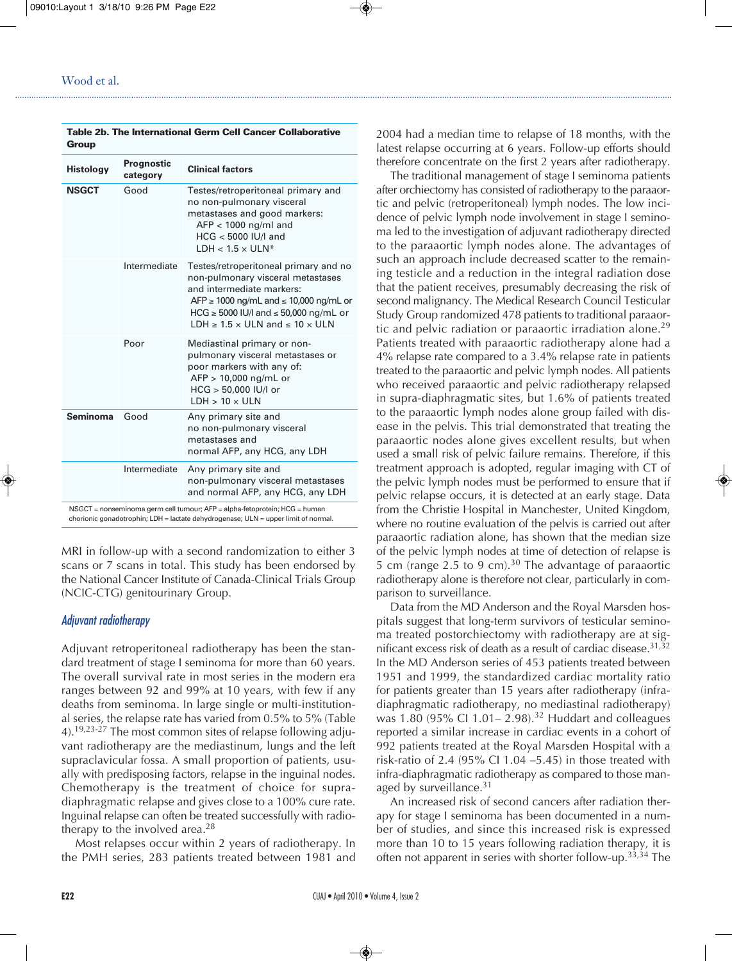#### **Table 2b. The International Germ Cell Cancer Collaborative Group**

| <b>Histology</b> | <b>Prognostic</b><br>category | <b>Clinical factors</b>                                                                                                                                                                                                                                              |
|------------------|-------------------------------|----------------------------------------------------------------------------------------------------------------------------------------------------------------------------------------------------------------------------------------------------------------------|
| <b>NSGCT</b>     | Good                          | Testes/retroperitoneal primary and<br>no non-pulmonary visceral<br>metastases and good markers:<br>$AFP < 1000$ ng/ml and<br>$HCG < 5000$ IU/L and<br>$LDH < 1.5 \times ULN*$                                                                                        |
|                  | Intermediate                  | Testes/retroperitoneal primary and no<br>non-pulmonary visceral metastases<br>and intermediate markers:<br>AFP $\geq$ 1000 ng/mL and $\leq$ 10,000 ng/mL or<br>HCG $\geq$ 5000 IU/l and $\leq$ 50,000 ng/mL or<br>LDH $\geq 1.5 \times$ ULN and $\leq 10 \times$ ULN |
|                  | Poor                          | Mediastinal primary or non-<br>pulmonary visceral metastases or<br>poor markers with any of:<br>AFP > 10,000 ng/mL or<br>HCG > 50,000 IU/l or<br>$LDH > 10 \times ULN$                                                                                               |
| <b>Seminoma</b>  | Good                          | Any primary site and<br>no non-pulmonary visceral<br>metastases and<br>normal AFP, any HCG, any LDH                                                                                                                                                                  |
|                  | Intermediate                  | Any primary site and<br>non-pulmonary visceral metastases<br>and normal AFP, any HCG, any LDH                                                                                                                                                                        |
|                  |                               | NSGCT = nonseminoma germ cell tumour; AFP = alpha-fetoprotein; HCG = human<br>chorionic gonadotrophin: LDH = lactate dehydrogenase: ULN = upper limit of normal.                                                                                                     |

MRI in follow-up with a second randomization to either 3 scans or 7 scans in total. This study has been endorsed by the National Cancer Institute of Canada-Clinical Trials Group (NCIC-CTG) genitourinary Group.

## *Adjuvant radiotherapy*

Adjuvant retroperitoneal radiotherapy has been the standard treatment of stage I seminoma for more than 60 years. The overall survival rate in most series in the modern era ranges between 92 and 99% at 10 years, with few if any deaths from seminoma. In large single or multi-institutional series, the relapse rate has varied from 0.5% to 5% (Table 4).<sup>19,23-27</sup> The most common sites of relapse following adjuvant radiotherapy are the mediastinum, lungs and the left supraclavicular fossa. A small proportion of patients, usually with predisposing factors, relapse in the inguinal nodes. Chemotherapy is the treatment of choice for supradiaphragmatic relapse and gives close to a 100% cure rate. Inguinal relapse can often be treated successfully with radiotherapy to the involved area.<sup>28</sup>

Most relapses occur within 2 years of radiotherapy. In the PMH series, 283 patients treated between 1981 and 2004 had a median time to relapse of 18 months, with the latest relapse occurring at 6 years. Follow-up efforts should therefore concentrate on the first 2 years after radiotherapy.

The traditional management of stage I seminoma patients after orchiectomy has consisted of radiotherapy to the paraaortic and pelvic (retroperitoneal) lymph nodes. The low incidence of pelvic lymph node involvement in stage I seminoma led to the investigation of adjuvant radiotherapy directed to the paraaortic lymph nodes alone. The advantages of such an approach include decreased scatter to the remaining testicle and a reduction in the integral radiation dose that the patient receives, presumably decreasing the risk of second malignancy. The Medical Research Council Testicular Study Group randomized 478 patients to traditional paraaortic and pelvic radiation or paraaortic irradiation alone. 29 Patients treated with paraaortic radiotherapy alone had a 4% relapse rate compared to a 3.4% relapse rate in patients treated to the paraaortic and pelvic lymph nodes. All patients who received paraaortic and pelvic radiotherapy relapsed in supra-diaphragmatic sites, but 1.6% of patients treated to the paraaortic lymph nodes alone group failed with disease in the pelvis. This trial demonstrated that treating the paraaortic nodes alone gives excellent results, but when used a small risk of pelvic failure remains. Therefore, if this treatment approach is adopted, regular imaging with CT of the pelvic lymph nodes must be performed to ensure that if pelvic relapse occurs, it is detected at an early stage. Data from the Christie Hospital in Manchester, United Kingdom, where no routine evaluation of the pelvis is carried out after paraaortic radiation alone, has shown that the median size of the pelvic lymph nodes at time of detection of relapse is 5 cm (range 2.5 to 9 cm). <sup>30</sup> The advantage of paraaortic radiotherapy alone is therefore not clear, particularly in comparison to surveillance.

Data from the MD Anderson and the Royal Marsden hospitals suggest that long-term survivors of testicular seminoma treated postorchiectomy with radiotherapy are at significant excess risk of death as a result of cardiac disease. 31,32 In the MD Anderson series of 453 patients treated between 1951 and 1999, the standardized cardiac mortality ratio for patients greater than 15 years after radiotherapy (infradiaphragmatic radiotherapy, no mediastinal radiotherapy) was 1.80 (95% CI 1.01 – 2.98).<sup>32</sup> Huddart and colleagues reported a similar increase in cardiac events in a cohort of 992 patients treated at the Royal Marsden Hospital with a risk-ratio of 2.4 (95% CI 1.04 –5.45) in those treated with infra-diaphragmatic radiotherapy as compared to those managed by surveillance.<sup>31</sup>

An increased risk of second cancers after radiation therapy for stage I seminoma has been documented in a number of studies, and since this increased risk is expressed more than 10 to 15 years following radiation therapy, it is often not apparent in series with shorter follow-up.<sup>33,34</sup> The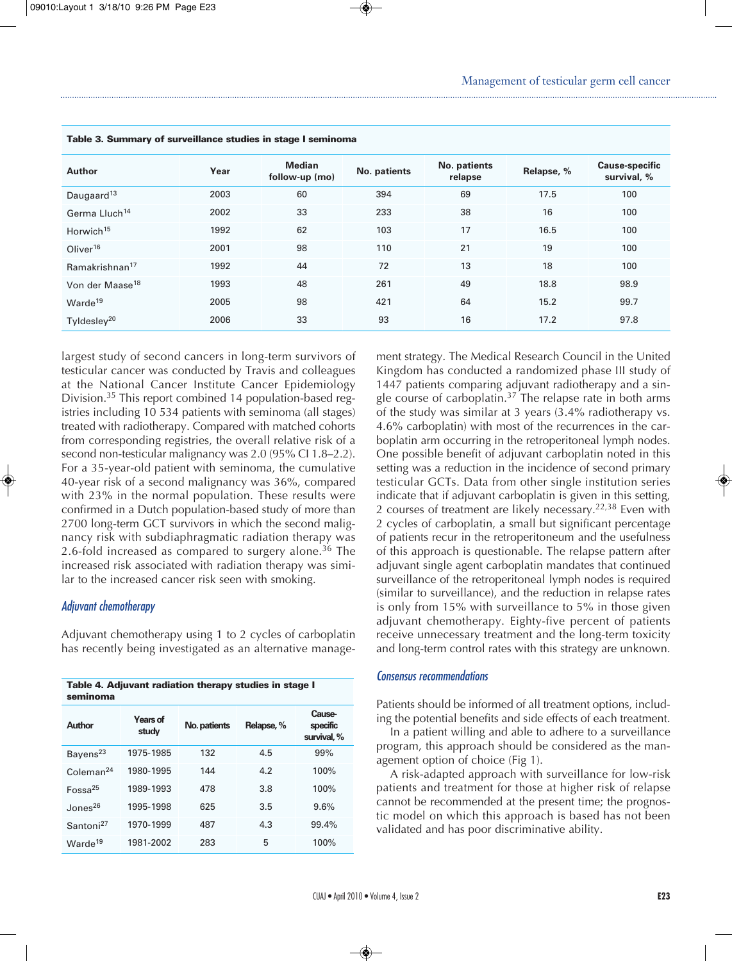| Table 3. Summary of surveillance studies in stage I seminoma |      |                                 |              |                         |            |                                      |
|--------------------------------------------------------------|------|---------------------------------|--------------|-------------------------|------------|--------------------------------------|
| <b>Author</b>                                                | Year | <b>Median</b><br>follow-up (mo) | No. patients | No. patients<br>relapse | Relapse, % | <b>Cause-specific</b><br>survival, % |
| Daugaard <sup>13</sup>                                       | 2003 | 60                              | 394          | 69                      | 17.5       | 100                                  |
| Germa Lluch <sup>14</sup>                                    | 2002 | 33                              | 233          | 38                      | 16         | 100                                  |
| Horwich <sup>15</sup>                                        | 1992 | 62                              | 103          | 17                      | 16.5       | 100                                  |
| Oliver <sup>16</sup>                                         | 2001 | 98                              | 110          | 21                      | 19         | 100                                  |
| Ramakrishnan <sup>17</sup>                                   | 1992 | 44                              | 72           | 13                      | 18         | 100                                  |
| Von der Maase <sup>18</sup>                                  | 1993 | 48                              | 261          | 49                      | 18.8       | 98.9                                 |
| Warde <sup>19</sup>                                          | 2005 | 98                              | 421          | 64                      | 15.2       | 99.7                                 |
| Tyldesley <sup>20</sup>                                      | 2006 | 33                              | 93           | 16                      | 17.2       | 97.8                                 |

#### **Table 3. Summary of surveillance studies in stage I seminoma**

largest study of second cancers in long-term survivors of testicular cancer was conducted by Travis and colleagues at the National Cancer Institute Cancer Epidemiology Division. <sup>35</sup> This report combined 14 population-based registries including 10 534 patients with seminoma (all stages) treated with radiotherapy. Compared with matched cohorts from corresponding registries, the overall relative risk of a second non-testicular malignancy was 2.0 (95% CI 1.8–2.2). For a 35-year-old patient with seminoma, the cumulative 40-year risk of a second malignancy was 36%, compared with 23% in the normal population. These results were confirmed in a Dutch population-based study of more than 2700 long-term GCT survivors in which the second malignancy risk with subdiaphragmatic radiation therapy was 2.6-fold increased as compared to surgery alone.<sup>36</sup> The increased risk associated with radiation therapy was similar to the increased cancer risk seen with smoking.

#### *Adjuvant chemotherapy*

Adjuvant chemotherapy using 1 to 2 cycles of carboplatin has recently being investigated as an alternative manage-

| Table 4. Adjuvant radiation therapy studies in stage I<br>seminoma |                          |              |            |                                   |  |  |  |  |
|--------------------------------------------------------------------|--------------------------|--------------|------------|-----------------------------------|--|--|--|--|
| <b>Author</b>                                                      | <b>Years of</b><br>study | No. patients | Relapse, % | Cause-<br>specific<br>survival, % |  |  |  |  |
| Bayens <sup>23</sup>                                               | 1975-1985                | 132          | 4.5        | 99%                               |  |  |  |  |
| Coleman <sup>24</sup>                                              | 1980-1995                | 144          | 4.2        | 100%                              |  |  |  |  |
| Fossa <sup>25</sup>                                                | 1989-1993                | 478          | 3.8        | 100%                              |  |  |  |  |
| Jones <sup>26</sup>                                                | 1995-1998                | 625          | 3.5        | 9.6%                              |  |  |  |  |
| Santoni <sup>27</sup>                                              | 1970-1999                | 487          | 4.3        | 99.4%                             |  |  |  |  |
| Warde <sup>19</sup>                                                | 1981-2002                | 283          | 5          | 100%                              |  |  |  |  |

ment strategy. The Medical Research Council in the United Kingdom has conducted a randomized phase III study of 1447 patients comparing adjuvant radiotherapy and a single course of carboplatin. <sup>37</sup> The relapse rate in both arms of the study was similar at 3 years (3.4% radiotherapy vs. 4.6% carboplatin) with most of the recurrences in the carboplatin arm occurring in the retroperitoneal lymph nodes. One possible benefit of adjuvant carboplatin noted in this setting was a reduction in the incidence of second primary testicular GCTs. Data from other single institution series indicate that if adjuvant carboplatin is given in this setting, 2 courses of treatment are likely necessary.<sup>22,38</sup> Even with 2 cycles of carboplatin, a small but significant percentage of patients recur in the retroperitoneum and the usefulness of this approach is questionable. The relapse pattern after adjuvant single agent carboplatin mandates that continued surveillance of the retroperitoneal lymph nodes is required (similar to surveillance), and the reduction in relapse rates is only from 15% with surveillance to 5% in those given adjuvant chemotherapy. Eighty-five percent of patients receive unnecessary treatment and the long-term toxicity and long-term control rates with this strategy are unknown.

#### *Consensus recommendations*

Patients should be informed of all treatment options, including the potential benefits and side effects of each treatment.

In a patient willing and able to adhere to a surveillance program, this approach should be considered as the management option of choice (Fig 1).

A risk-adapted approach with surveillance for low-risk patients and treatment for those at higher risk of relapse cannot be recommended at the present time; the prognostic model on which this approach is based has not been validated and has poor discriminative ability.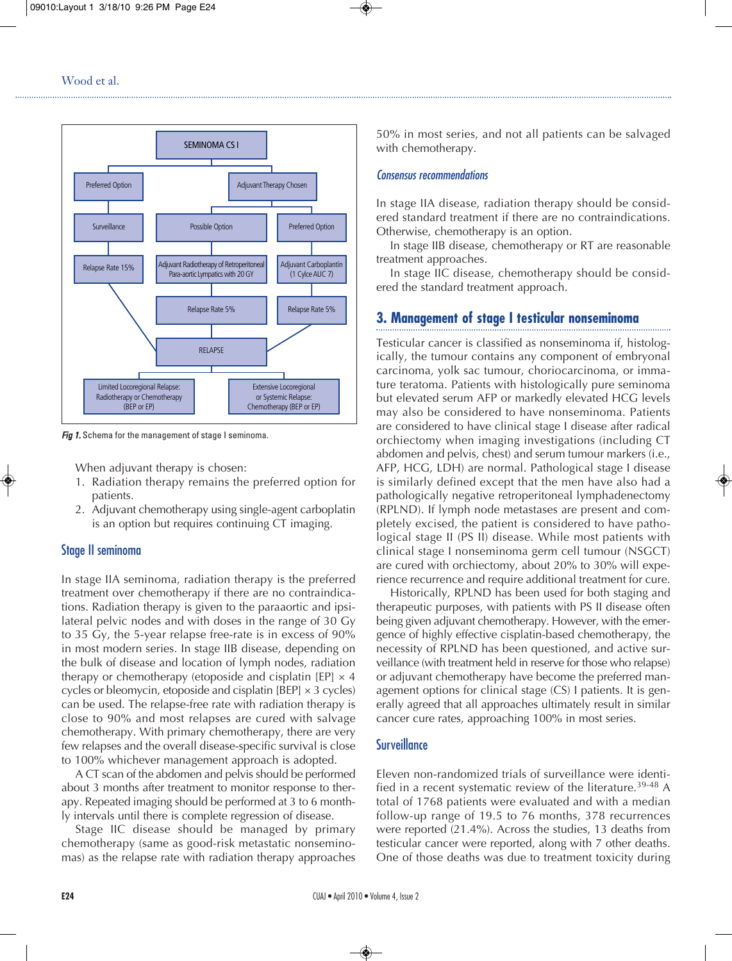

*Fig 1.* Schema for the management of stage I seminoma.

When adjuvant therapy is chosen:

- 1. Radiation therapy remains the preferred option for patients.
- 2. Adjuvant chemotherapy using single-agent carboplatin is an option but requires continuing CT imaging.

#### Stage II seminoma

In stage IIA seminoma, radiation therapy is the preferred treatment over chemotherapy if there are no contraindications. Radiation therapy is given to the paraaortic and ipsilateral pelvic nodes and with doses in the range of 30 Gy to 35 Gy, the 5-year relapse free-rate is in excess of 90% in most modern series. In stage IIB disease, depending on the bulk of disease and location of lymph nodes, radiation therapy or chemotherapy (etoposide and cisplatin [EP]  $\times$  4 cycles or bleomycin, etoposide and cisplatin [BEP] × 3 cycles) can be used. The relapse-free rate with radiation therapy is close to 90% and most relapses are cured with salvage chemotherapy. With primary chemotherapy, there are very few relapses and the overall disease-specific survival is close to 100% whichever management approach is adopted.

A CT scan of the abdomen and pelvis should be performed about 3 months after treatment to monitor response to therapy. Repeated imaging should be performed at 3 to 6 monthly intervals until there is complete regression of disease.

Stage IIC disease should be managed by primary chemotherapy (same as good-risk metastatic nonseminomas) as the relapse rate with radiation therapy approaches 50% in most series, and not all patients can be salvaged with chemotherapy.

#### *Consensus recommendations*

In stage IIA disease, radiation therapy should be considered standard treatment if there are no contraindications. Otherwise, chemotherapy is an option.

In stage IIB disease, chemotherapy or RT are reasonable treatment approaches.

In stage IIC disease, chemotherapy should be considered the standard treatment approach.

# **3. Management of stage I testicular nonseminoma**

Testicular cancer is classified as nonseminoma if, histologically, the tumour contains any component of embryonal carcinoma, yolk sac tumour, choriocarcinoma, or immature teratoma. Patients with histologically pure seminoma but elevated serum AFP or markedly elevated HCG levels may also be considered to have nonseminoma. Patients are considered to have clinical stage I disease after radical orchiectomy when imaging investigations (including CT abdomen and pelvis, chest) and serum tumour markers (i.e., AFP, HCG, LDH) are normal. Pathological stage I disease is similarly defined except that the men have also had a pathologically negative retroperitoneal lymphadenectomy (RPLND). If lymph node metastases are present and completely excised, the patient is considered to have pathological stage II (PS II) disease. While most patients with clinical stage I nonseminoma germ cell tumour (NSGCT) are cured with orchiectomy, about 20% to 30% will experience recurrence and require additional treatment for cure.

Historically, RPLND has been used for both staging and therapeutic purposes, with patients with PS II disease often being given adjuvant chemotherapy. However, with the emergence of highly effective cisplatin-based chemotherapy, the necessity of RPLND has been questioned, and active surveillance (with treatment held in reserve for those who relapse) or adjuvant chemotherapy have become the preferred management options for clinical stage (CS) I patients. It is generally agreed that all approaches ultimately result in similar cancer cure rates, approaching 100% in most series.

# **Surveillance**

Eleven non-randomized trials of surveillance were identified in a recent systematic review of the literature.<sup>39-48</sup> A total of 1768 patients were evaluated and with a median follow-up range of 19.5 to 76 months, 378 recurrences were reported (21.4%). Across the studies, 13 deaths from testicular cancer were reported, along with 7 other deaths. One of those deaths was due to treatment toxicity during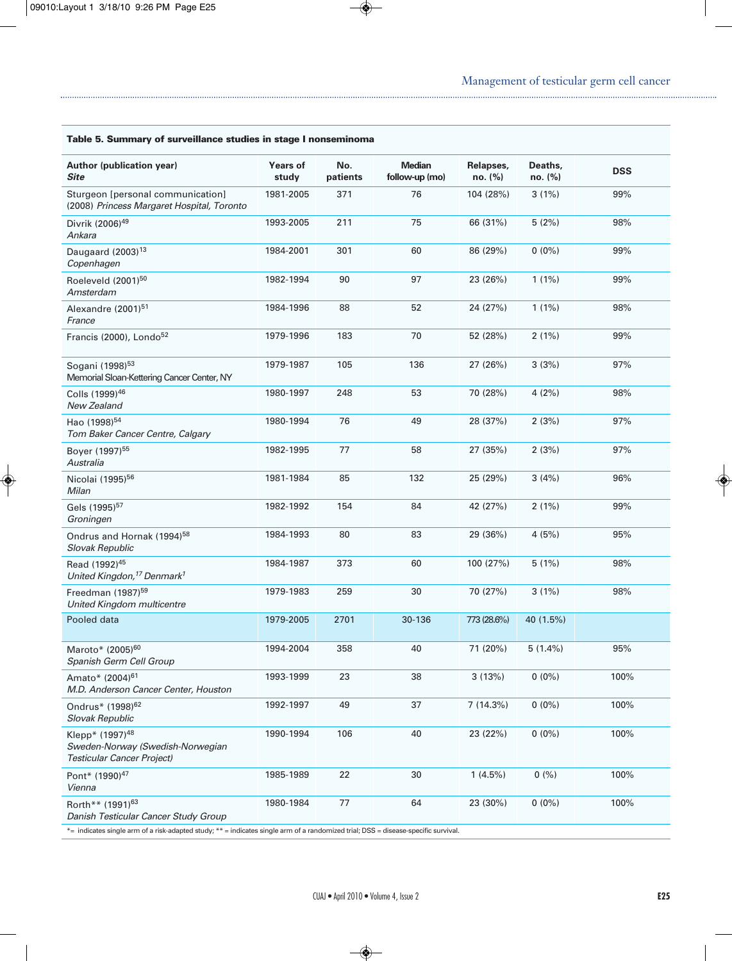◈

# Management of testicular germ cell cancer

# **Table 5. Summary of surveillance studies in stage I nonseminoma**

| Author (publication year)<br>Site                                                                                                  | <b>Years of</b><br>study | No.<br>patients | <b>Median</b><br>follow-up (mo) | Relapses,<br>no. (%) | Deaths,<br>no. (%) | <b>DSS</b> |
|------------------------------------------------------------------------------------------------------------------------------------|--------------------------|-----------------|---------------------------------|----------------------|--------------------|------------|
| Sturgeon [personal communication]<br>(2008) Princess Margaret Hospital, Toronto                                                    | 1981-2005                | 371             | 76                              | 104 (28%)            | 3(1%)              | 99%        |
| Divrik (2006) <sup>49</sup><br>Ankara                                                                                              | 1993-2005                | 211             | 75                              | 66 (31%)             | 5(2%)              | 98%        |
| Daugaard (2003) <sup>13</sup><br>Copenhagen                                                                                        | 1984-2001                | 301             | 60                              | 86 (29%)             | $0(0\%)$           | 99%        |
| Roeleveld (2001) <sup>50</sup><br>Amsterdam                                                                                        | 1982-1994                | 90              | 97                              | 23 (26%)             | $1(1\%)$           | 99%        |
| Alexandre (2001) <sup>51</sup><br>France                                                                                           | 1984-1996                | 88              | 52                              | 24 (27%)             | $1(1\%)$           | 98%        |
| Francis (2000), Londo <sup>52</sup>                                                                                                | 1979-1996                | 183             | 70                              | 52 (28%)             | 2(1%)              | 99%        |
| Sogani (1998) <sup>53</sup><br>Memorial Sloan-Kettering Cancer Center, NY                                                          | 1979-1987                | 105             | 136                             | 27 (26%)             | 3(3%)              | 97%        |
| Colls (1999) <sup>46</sup><br>New Zealand                                                                                          | 1980-1997                | 248             | 53                              | 70 (28%)             | 4(2%)              | 98%        |
| Hao (1998) <sup>54</sup><br>Tom Baker Cancer Centre, Calgary                                                                       | 1980-1994                | 76              | 49                              | 28 (37%)             | 2(3%)              | 97%        |
| Boyer (1997) <sup>55</sup><br>Australia                                                                                            | 1982-1995                | 77              | 58                              | 27 (35%)             | 2(3%)              | 97%        |
| Nicolai (1995) <sup>56</sup><br>Milan                                                                                              | 1981-1984                | 85              | 132                             | 25 (29%)             | 3(4%)              | 96%        |
| Gels (1995) <sup>57</sup><br>Groningen                                                                                             | 1982-1992                | 154             | 84                              | 42 (27%)             | 2(1%)              | 99%        |
| Ondrus and Hornak (1994) <sup>58</sup><br>Slovak Republic                                                                          | 1984-1993                | 80              | 83                              | 29 (36%)             | 4(5%)              | 95%        |
| Read (1992) <sup>45</sup><br>United Kingdon, <sup>17</sup> Denmark <sup>1</sup>                                                    | 1984-1987                | 373             | 60                              | 100 (27%)            | 5(1%)              | 98%        |
| Freedman (1987) <sup>59</sup><br>United Kingdom multicentre                                                                        | 1979-1983                | 259             | 30                              | 70 (27%)             | 3(1%)              | 98%        |
| Pooled data                                                                                                                        | 1979-2005                | 2701            | 30-136                          | 773 (28.6%)          | 40 (1.5%)          |            |
| Maroto* (2005) <sup>60</sup><br>Spanish Germ Cell Group                                                                            | 1994-2004                | 358             | 40                              | 71 (20%)             | $5(1.4\%)$         | 95%        |
| Amato* (2004) <sup>61</sup><br>M.D. Anderson Cancer Center, Houston                                                                | 1993-1999                | 23              | 38                              | 3(13%)               | $0(0\%)$           | 100%       |
| Ondrus* (1998) <sup>62</sup><br>Slovak Republic                                                                                    | 1992-1997                | 49              | 37                              | 7(14.3%)             | $0(0\%)$           | 100%       |
| Klepp* (1997) <sup>48</sup><br>Sweden-Norway (Swedish-Norwegian<br><b>Testicular Cancer Project)</b>                               | 1990-1994                | 106             | 40                              | 23 (22%)             | $0(0\%)$           | 100%       |
| Pont* (1990) <sup>47</sup><br>Vienna                                                                                               | 1985-1989                | 22              | 30                              | $1(4.5\%)$           | 0(%)               | 100%       |
| Rorth** (1991) <sup>63</sup><br>Danish Testicular Cancer Study Group                                                               | 1980-1984                | 77              | 64                              | 23 (30%)             | $0(0\%)$           | 100%       |
| *= indicates single arm of a risk-adapted study; ** = indicates single arm of a randomized trial; DSS = disease-specific survival. |                          |                 |                                 |                      |                    |            |

◈

CUAJ • April 2010 • Volume 4, Issue 2 **E25**

◈

 $\bigcirc$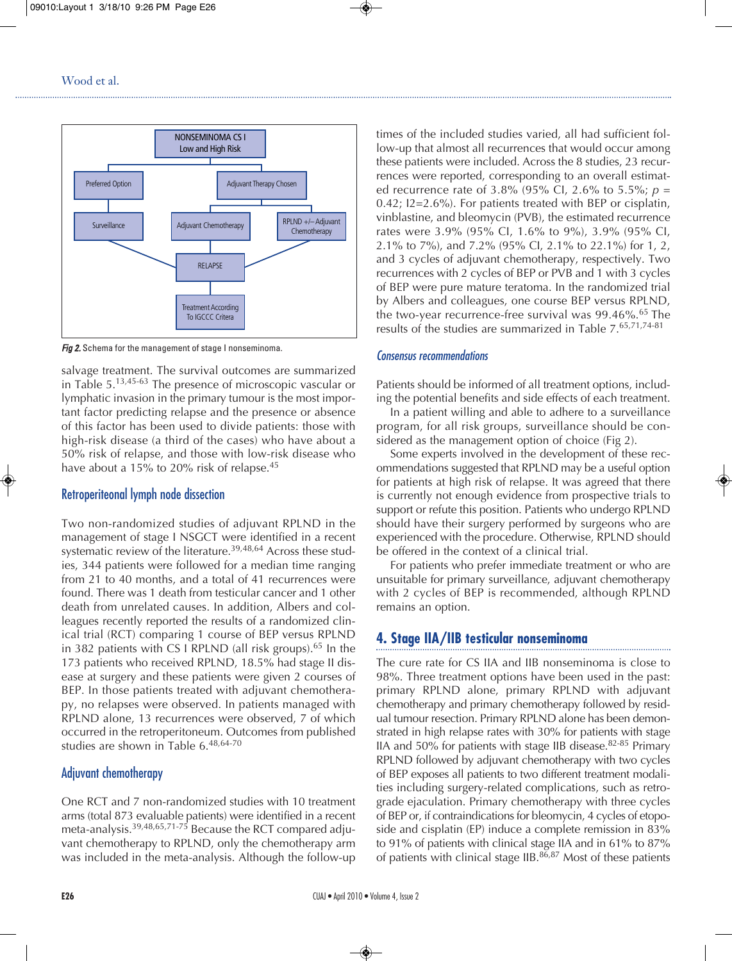

*Fig 2.* Schema for the management of stage I nonseminoma.

salvage treatment. The survival outcomes are summarized in Table 5. 13,45-63 The presence of microscopic vascular or lymphatic invasion in the primary tumour is the most important factor predicting relapse and the presence or absence of this factor has been used to divide patients: those with high-risk disease (a third of the cases) who have about a 50% risk of relapse, and those with low-risk disease who have about a 15% to 20% risk of relapse.<sup>45</sup>

#### Retroperiteonal lymph node dissection

Two non-randomized studies of adjuvant RPLND in the management of stage I NSGCT were identified in a recent systematic review of the literature.<sup>39,48,64</sup> Across these studies, 344 patients were followed for a median time ranging from 21 to 40 months, and a total of 41 recurrences were found. There was 1 death from testicular cancer and 1 other death from unrelated causes. In addition, Albers and colleagues recently reported the results of a randomized clinical trial (RCT) comparing 1 course of BEP versus RPLND in 382 patients with CS I RPLND (all risk groups). <sup>65</sup> In the 173 patients who received RPLND, 18.5% had stage II disease at surgery and these patients were given 2 courses of BEP. In those patients treated with adjuvant chemotherapy, no relapses were observed. In patients managed with RPLND alone, 13 recurrences were observed, 7 of which occurred in the retroperitoneum. Outcomes from published studies are shown in Table 6. 48,64-70

# Adjuvant chemotherapy

One RCT and 7 non-randomized studies with 10 treatment arms (total 873 evaluable patients) were identified in a recent meta-analysis. 39,48,65,71-75 Because the RCT compared adjuvant chemotherapy to RPLND, only the chemotherapy arm was included in the meta-analysis. Although the follow-up times of the included studies varied, all had sufficient follow-up that almost all recurrences that would occur among these patients were included. Across the 8 studies, 23 recurrences were reported, corresponding to an overall estimated recurrence rate of 3.8% (95% CI, 2.6% to 5.5%; *p* = 0.42; I2=2.6%). For patients treated with BEP or cisplatin, vinblastine, and bleomycin (PVB), the estimated recurrence rates were 3.9% (95% CI, 1.6% to 9%), 3.9% (95% CI, 2.1% to 7%), and 7.2% (95% CI, 2.1% to 22.1%) for 1, 2, and 3 cycles of adjuvant chemotherapy, respectively. Two recurrences with 2 cycles of BEP or PVB and 1 with 3 cycles of BEP were pure mature teratoma. In the randomized trial by Albers and colleagues, one course BEP versus RPLND, the two-year recurrence-free survival was 99.46%. <sup>65</sup> The results of the studies are summarized in Table 7. 65,71,74-81

#### *Consensus recommendations*

Patients should be informed of all treatment options, including the potential benefits and side effects of each treatment.

In a patient willing and able to adhere to a surveillance program, for all risk groups, surveillance should be considered as the management option of choice (Fig 2).

Some experts involved in the development of these recommendations suggested that RPLND may be a useful option for patients at high risk of relapse. It was agreed that there is currently not enough evidence from prospective trials to support or refute this position. Patients who undergo RPLND should have their surgery performed by surgeons who are experienced with the procedure. Otherwise, RPLND should be offered in the context of a clinical trial.

For patients who prefer immediate treatment or who are unsuitable for primary surveillance, adjuvant chemotherapy with 2 cycles of BEP is recommended, although RPLND remains an option.

# **4. Stage IIA/IIB testicular nonseminoma**

The cure rate for CS IIA and IIB nonseminoma is close to 98%. Three treatment options have been used in the past: primary RPLND alone, primary RPLND with adjuvant chemotherapy and primary chemotherapy followed by residual tumour resection. Primary RPLND alone has been demonstrated in high relapse rates with 30% for patients with stage IIA and 50% for patients with stage IIB disease. $82-85$  Primary RPLND followed by adjuvant chemotherapy with two cycles of BEP exposes all patients to two different treatment modalities including surgery-related complications, such as retrograde ejaculation. Primary chemotherapy with three cycles of BEP or, if contraindications for bleomycin, 4 cycles of etoposide and cisplatin (EP) induce a complete remission in 83% to 91% of patients with clinical stage IIA and in 61% to 87% of patients with clinical stage IIB.<sup>86,87</sup> Most of these patients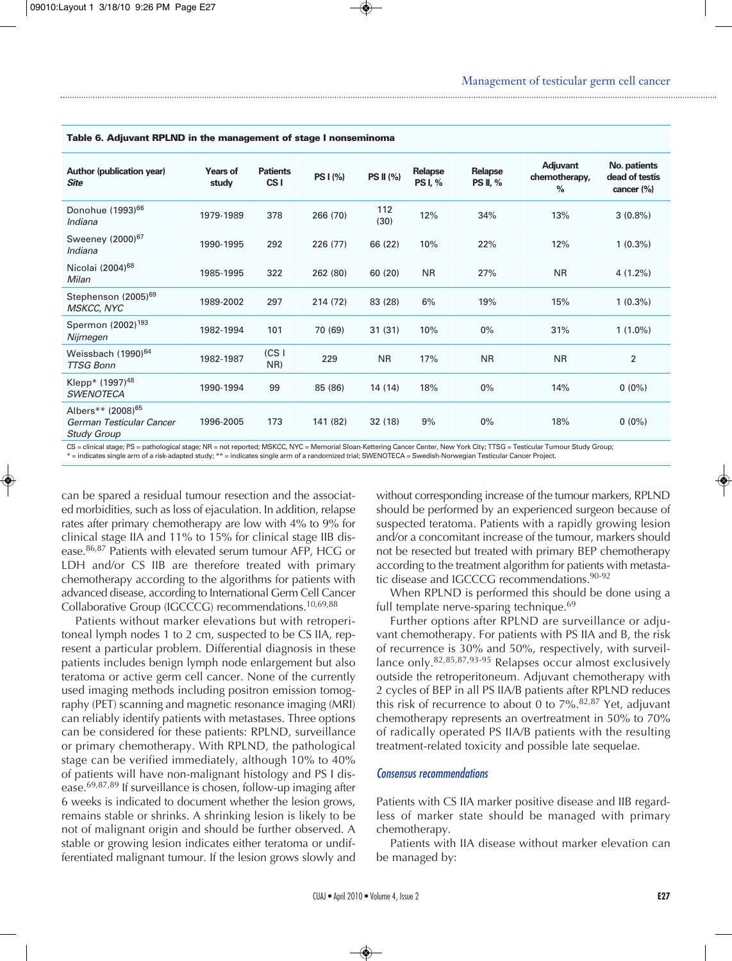| Table 6. Adjuvant RPLND in the management of stage I nonseminoma                |                          |                                    |                 |                  |                           |                            |                                                   |                                              |
|---------------------------------------------------------------------------------|--------------------------|------------------------------------|-----------------|------------------|---------------------------|----------------------------|---------------------------------------------------|----------------------------------------------|
| Author (publication year)<br><b>Site</b>                                        | <b>Years of</b><br>study | <b>Patients</b><br>CS <sub>I</sub> | <b>PS I</b> (%) | <b>PS II (%)</b> | Relapse<br><b>PS I, %</b> | Relapse<br><b>PS II, %</b> | <b>Adjuvant</b><br>chemotherapy,<br>$\frac{9}{0}$ | No. patients<br>dead of testis<br>cancer (%) |
| Donohue (1993) <sup>66</sup><br>Indiana                                         | 1979-1989                | 378                                | 266 (70)        | 112<br>(30)      | 12%                       | 34%                        | 13%                                               | $3(0.8\%)$                                   |
| Sweeney (2000) <sup>67</sup><br>Indiana                                         | 1990-1995                | 292                                | 226 (77)        | 66 (22)          | 10%                       | 22%                        | 12%                                               | $1(0.3\%)$                                   |
| Nicolai (2004) <sup>68</sup><br>Milan                                           | 1985-1995                | 322                                | 262 (80)        | 60 (20)          | <b>NR</b>                 | 27%                        | <b>NR</b>                                         | $4(1.2\%)$                                   |
| Stephenson (2005) <sup>69</sup><br><b>MSKCC, NYC</b>                            | 1989-2002                | 297                                | 214 (72)        | 83 (28)          | 6%                        | 19%                        | 15%                                               | $1(0.3\%)$                                   |
| Spermon (2002) <sup>193</sup><br>Nijmegen                                       | 1982-1994                | 101                                | 70 (69)         | 31(31)           | 10%                       | 0%                         | 31%                                               | $1(1.0\%)$                                   |
| Weissbach (1990) <sup>64</sup><br><b>TTSG Bonn</b>                              | 1982-1987                | (CS <sub>1</sub> )<br>NR)          | 229             | <b>NR</b>        | 17%                       | <b>NR</b>                  | <b>NR</b>                                         | 2                                            |
| Klepp* (1997) <sup>48</sup><br><b>SWENOTECA</b>                                 | 1990-1994                | 99                                 | 85 (86)         | 14(14)           | 18%                       | 0%                         | 14%                                               | $0(0\%)$                                     |
| Albers** (2008) <sup>65</sup><br>German Testicular Cancer<br><b>Study Group</b> | 1996-2005                | 173                                | 141 (82)        | 32(18)           | 9%                        | 0%                         | 18%                                               | $0(0\%)$                                     |

CS = clinical stage; PS = pathological stage; NR = not reported; MSKCC, NYC = Memorial Sloan-Kettering Cancer Center, New York City; TTSG = Testicular Tumour Study Group; \* = indicates single arm of a risk-adapted study; \*\* = indicates single arm of a randomized trial; SWENOTECA = Swedish-Norwegian Testicular Cancer Project.

can be spared a residual tumour resection and the associated morbidities, such as loss of ejaculation. In addition, relapse rates after primary chemotherapy are low with 4% to 9% for clinical stage IIA and 11% to 15% for clinical stage IIB disease.<sup>86,87</sup> Patients with elevated serum tumour AFP, HCG or LDH and/or CS IIB are therefore treated with primary chemotherapy according to the algorithms for patients with advanced disease, according to International Germ Cell Cancer Collaborative Group (IGCCCG) recommendations.<sup>10,69,88</sup>

Patients without marker elevations but with retroperitoneal lymph nodes 1 to 2 cm, suspected to be CS IIA, represent a particular problem. Differential diagnosis in these patients includes benign lymph node enlargement but also teratoma or active germ cell cancer. None of the currently used imaging methods including positron emission tomography (PET) scanning and magnetic resonance imaging (MRI) can reliably identify patients with metastases. Three options can be considered for these patients: RPLND, surveillance or primary chemotherapy. With RPLND, the pathological stage can be verified immediately, although 10% to 40% of patients will have non-malignant histology and PS I disease. 69,87,89 If surveillance is chosen, follow-up imaging after 6 weeks is indicated to document whether the lesion grows, remains stable or shrinks. A shrinking lesion is likely to be not of malignant origin and should be further observed. A stable or growing lesion indicates either teratoma or undifferentiated malignant tumour. If the lesion grows slowly and without corresponding increase of the tumour markers, RPLND should be performed by an experienced surgeon because of suspected teratoma. Patients with a rapidly growing lesion and/or a concomitant increase of the tumour, markers should not be resected but treated with primary BEP chemotherapy according to the treatment algorithm for patients with metastatic disease and IGCCCG recommendations. 90-92

When RPLND is performed this should be done using a full template nerve-sparing technique.<sup>69</sup>

Further options after RPLND are surveillance or adjuvant chemotherapy. For patients with PS IIA and B, the risk of recurrence is 30% and 50%, respectively, with surveillance only.<sup>82,85,87,93-95</sup> Relapses occur almost exclusively outside the retroperitoneum. Adjuvant chemotherapy with 2 cycles of BEP in all PS IIA/B patients after RPLND reduces this risk of recurrence to about 0 to 7%.<sup>82,87</sup> Yet, adjuvant chemotherapy represents an overtreatment in 50% to 70% of radically operated PS IIA/B patients with the resulting treatment-related toxicity and possible late sequelae.

## *Consensus recommendations*

Patients with CS IIA marker positive disease and IIB regardless of marker state should be managed with primary chemotherapy.

Patients with IIA disease without marker elevation can be managed by: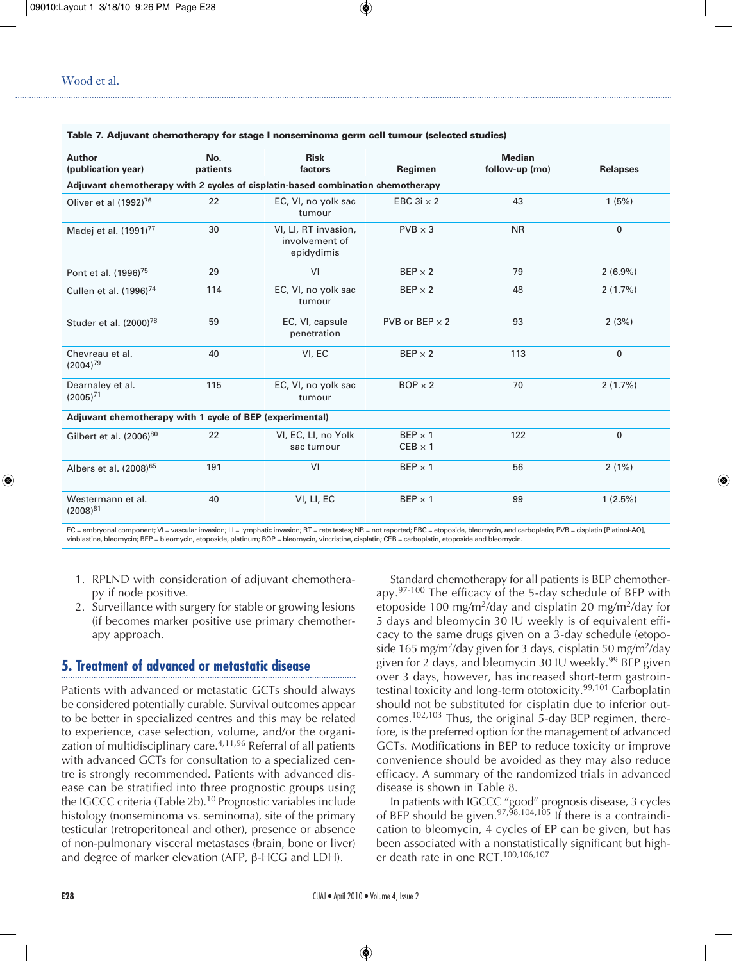| Table 7. Adjuvant chemotherapy for stage I nonseminoma germ cell tumour (selected studies) |                                                                                 |                                                      |                                  |                                 |                 |  |  |  |  |
|--------------------------------------------------------------------------------------------|---------------------------------------------------------------------------------|------------------------------------------------------|----------------------------------|---------------------------------|-----------------|--|--|--|--|
| Author<br>(publication year)                                                               | No.<br>patients                                                                 | <b>Risk</b><br>factors                               | Regimen                          | <b>Median</b><br>follow-up (mo) | <b>Relapses</b> |  |  |  |  |
|                                                                                            | Adjuvant chemotherapy with 2 cycles of cisplatin-based combination chemotherapy |                                                      |                                  |                                 |                 |  |  |  |  |
| Oliver et al (1992) <sup>76</sup>                                                          | 22                                                                              | EC, VI, no yolk sac<br>tumour                        | EBC 3i $\times$ 2                | 43                              | 1(5%)           |  |  |  |  |
| Madej et al. (1991) <sup>77</sup>                                                          | 30                                                                              | VI, LI, RT invasion,<br>involvement of<br>epidydimis | $PVB \times 3$                   | <b>NR</b>                       | $\mathbf 0$     |  |  |  |  |
| Pont et al. (1996) <sup>75</sup>                                                           | 29                                                                              | VI                                                   | $BEP \times 2$                   | 79                              | $2(6.9\%)$      |  |  |  |  |
| Cullen et al. (1996) <sup>74</sup>                                                         | 114                                                                             | EC, VI, no yolk sac<br>tumour                        | $BEP \times 2$                   | 48                              | 2(1.7%)         |  |  |  |  |
| Studer et al. (2000) <sup>78</sup>                                                         | 59                                                                              | EC, VI, capsule<br>penetration                       | PVB or BEP $\times$ 2            | 93                              | 2(3%)           |  |  |  |  |
| Chevreau et al.<br>$(2004)^{79}$                                                           | 40                                                                              | VI, EC                                               | $BEP \times 2$                   | 113                             | 0               |  |  |  |  |
| Dearnaley et al.<br>$(2005)^{71}$                                                          | 115                                                                             | EC, VI, no yolk sac<br>tumour                        | $BOP \times 2$                   | 70                              | 2(1.7%)         |  |  |  |  |
|                                                                                            | Adjuvant chemotherapy with 1 cycle of BEP (experimental)                        |                                                      |                                  |                                 |                 |  |  |  |  |
| Gilbert et al. (2006) <sup>80</sup>                                                        | 22                                                                              | VI, EC, LI, no Yolk<br>sac tumour                    | $BEP \times 1$<br>$CEB \times 1$ | 122                             | 0               |  |  |  |  |
| Albers et al. (2008) <sup>65</sup>                                                         | 191                                                                             | VI                                                   | $BEP \times 1$                   | 56                              | 2(1%)           |  |  |  |  |
| Westermann et al.<br>$(2008)^{81}$                                                         | 40                                                                              | VI, LI, EC                                           | $BEP \times 1$                   | 99                              | 1(2.5%)         |  |  |  |  |

 $EC =$  embryonal component; VI = vascular invasion; LI = lymphatic invasion; RT = rete testes; NR = not reported; EBC = etoposide, bleomycin, and carboplatin; PVB = cisplatin [Platinol-AQ], vinblastine, bleomycin; BEP = bleomycin, etoposide, platinum; BOP = bleomycin, vincristine, cisplatin; CEB = carboplatin, etoposide and bleomycin.

- 1. RPLND with consideration of adjuvant chemotherapy if node positive.
- 2. Surveillance with surgery for stable or growing lesions (if becomes marker positive use primary chemotherapy approach.

# **5. Treatment of advanced or metastatic disease**

Patients with advanced or metastatic GCTs should always be considered potentially curable. Survival outcomes appear to be better in specialized centres and this may be related to experience, case selection, volume, and/or the organization of multidisciplinary care. 4,11,96 Referral of all patients with advanced GCTs for consultation to a specialized centre is strongly recommended. Patients with advanced disease can be stratified into three prognostic groups using the IGCCC criteria (Table 2b).<sup>10</sup> Prognostic variables include histology (nonseminoma vs. seminoma), site of the primary testicular (retroperitoneal and other), presence or absence of non-pulmonary visceral metastases (brain, bone or liver) and degree of marker elevation (AFP, β-HCG and LDH).

Standard chemotherapy for all patients is BEP chemotherapy. 97-100 The efficacy of the 5-day schedule of BEP with etoposide 100 mg/m<sup>2</sup>/day and cisplatin 20 mg/m<sup>2</sup>/day for 5 days and bleomycin 30 IU weekly is of equivalent efficacy to the same drugs given on a 3-day schedule (etoposide 165 mg/m<sup>2</sup>/day given for 3 days, cisplatin 50 mg/m<sup>2</sup>/day given for 2 days, and bleomycin 30 IU weekly. <sup>99</sup> BEP given over 3 days, however, has increased short-term gastrointestinal toxicity and long-term ototoxicity. 99,101 Carboplatin should not be substituted for cisplatin due to inferior outcomes. 102,103 Thus, the original 5-day BEP regimen, therefore, is the preferred option for the management of advanced GCTs. Modifications in BEP to reduce toxicity or improve convenience should be avoided as they may also reduce efficacy. A summary of the randomized trials in advanced disease is shown in Table 8.

In patients with IGCCC "good" prognosis disease, 3 cycles of BEP should be given.<sup>97,98,104,105</sup> If there is a contraindication to bleomycin, 4 cycles of EP can be given, but has been associated with a nonstatistically significant but higher death rate in one RCT.<sup>100,106,107</sup>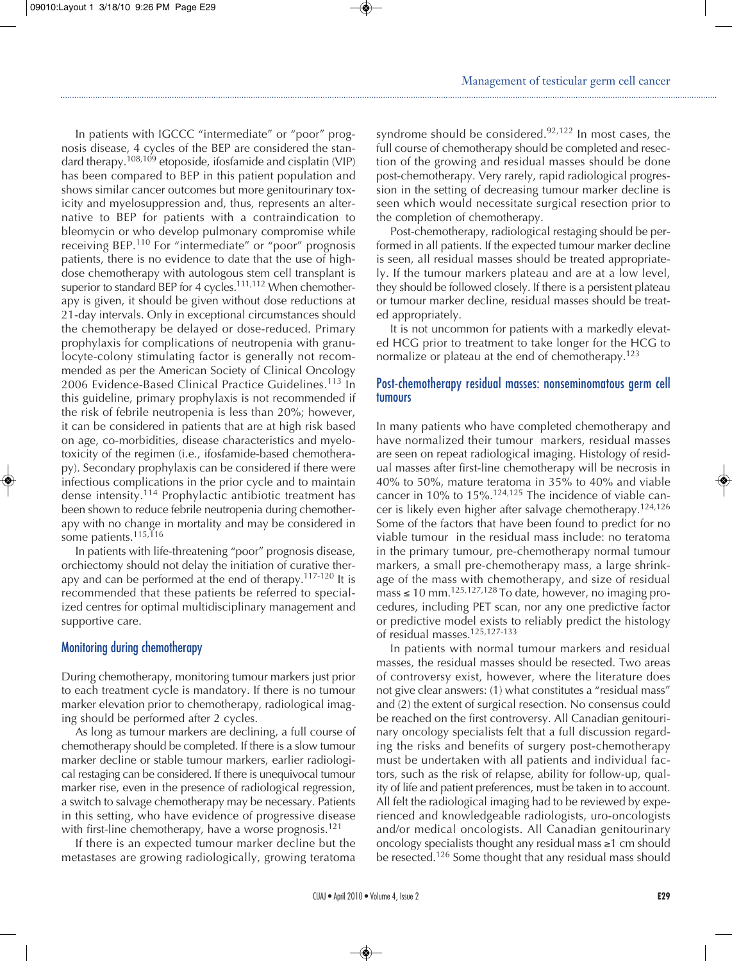In patients with IGCCC "intermediate" or "poor" prognosis disease, 4 cycles of the BEP are considered the standard therapy. 108,109 etoposide, ifosfamide and cisplatin (VIP) has been compared to BEP in this patient population and shows similar cancer outcomes but more genitourinary toxicity and myelosuppression and, thus, represents an alternative to BEP for patients with a contraindication to bleomycin or who develop pulmonary compromise while receiving BEP.<sup>110</sup> For "intermediate" or "poor" prognosis patients, there is no evidence to date that the use of highdose chemotherapy with autologous stem cell transplant is superior to standard BEP for 4 cycles.<sup>111,112</sup> When chemotherapy is given, it should be given without dose reductions at 21-day intervals. Only in exceptional circumstances should the chemotherapy be delayed or dose-reduced. Primary prophylaxis for complications of neutropenia with granulocyte-colony stimulating factor is generally not recommended as per the American Society of Clinical Oncology 2006 Evidence-Based Clinical Practice Guidelines. <sup>113</sup> In this guideline, primary prophylaxis is not recommended if the risk of febrile neutropenia is less than 20%; however, it can be considered in patients that are at high risk based on age, co-morbidities, disease characteristics and myelotoxicity of the regimen (i.e., ifosfamide-based chemotherapy). Secondary prophylaxis can be considered if there were infectious complications in the prior cycle and to maintain dense intensity. <sup>114</sup> Prophylactic antibiotic treatment has been shown to reduce febrile neutropenia during chemotherapy with no change in mortality and may be considered in some patients. 115,116

In patients with life-threatening "poor" prognosis disease, orchiectomy should not delay the initiation of curative therapy and can be performed at the end of therapy.<sup>117-120</sup> It is recommended that these patients be referred to specialized centres for optimal multidisciplinary management and supportive care.

## Monitoring during chemotherapy

During chemotherapy, monitoring tumour markers just prior to each treatment cycle is mandatory. If there is no tumour marker elevation prior to chemotherapy, radiological imaging should be performed after 2 cycles.

As long as tumour markers are declining, a full course of chemotherapy should be completed. If there is a slow tumour marker decline or stable tumour markers, earlier radiological restaging can be considered. If there is unequivocal tumour marker rise, even in the presence of radiological regression, a switch to salvage chemotherapy may be necessary. Patients in this setting, who have evidence of progressive disease with first-line chemotherapy, have a worse prognosis.<sup>121</sup>

If there is an expected tumour marker decline but the metastases are growing radiologically, growing teratoma

syndrome should be considered.<sup>92,122</sup> In most cases, the full course of chemotherapy should be completed and resection of the growing and residual masses should be done post-chemotherapy. Very rarely, rapid radiological progression in the setting of decreasing tumour marker decline is seen which would necessitate surgical resection prior to the completion of chemotherapy.

Post-chemotherapy, radiological restaging should be performed in all patients. If the expected tumour marker decline is seen, all residual masses should be treated appropriately. If the tumour markers plateau and are at a low level, they should be followed closely. If there is a persistent plateau or tumour marker decline, residual masses should be treated appropriately.

It is not uncommon for patients with a markedly elevated HCG prior to treatment to take longer for the HCG to normalize or plateau at the end of chemotherapy.<sup>123</sup>

## Post-chemotherapy residual masses: nonseminomatous germ cell tumours

In many patients who have completed chemotherapy and have normalized their tumour markers, residual masses are seen on repeat radiological imaging. Histology of residual masses after first-line chemotherapy will be necrosis in 40% to 50%, mature teratoma in 35% to 40% and viable cancer in 10% to 15%.<sup>124,125</sup> The incidence of viable cancer is likely even higher after salvage chemotherapy. 124,126 Some of the factors that have been found to predict for no viable tumour in the residual mass include: no teratoma in the primary tumour, pre-chemotherapy normal tumour markers, a small pre-chemotherapy mass, a large shrinkage of the mass with chemotherapy, and size of residual mass ≤ 10 mm.<sup>125,127,128</sup> To date, however, no imaging procedures, including PET scan, nor any one predictive factor or predictive model exists to reliably predict the histology of residual masses. 125,127-133

In patients with normal tumour markers and residual masses, the residual masses should be resected. Two areas of controversy exist, however, where the literature does not give clear answers: (1) what constitutes a "residual mass" and (2) the extent of surgical resection. No consensus could be reached on the first controversy. All Canadian genitourinary oncology specialists felt that a full discussion regarding the risks and benefits of surgery post-chemotherapy must be undertaken with all patients and individual factors, such as the risk of relapse, ability for follow-up, quality of life and patient preferences, must be taken in to account. All felt the radiological imaging had to be reviewed by experienced and knowledgeable radiologists, uro-oncologists and/or medical oncologists. All Canadian genitourinary oncology specialists thought any residual mass ≥1 cm should be resected. <sup>126</sup> Some thought that any residual mass should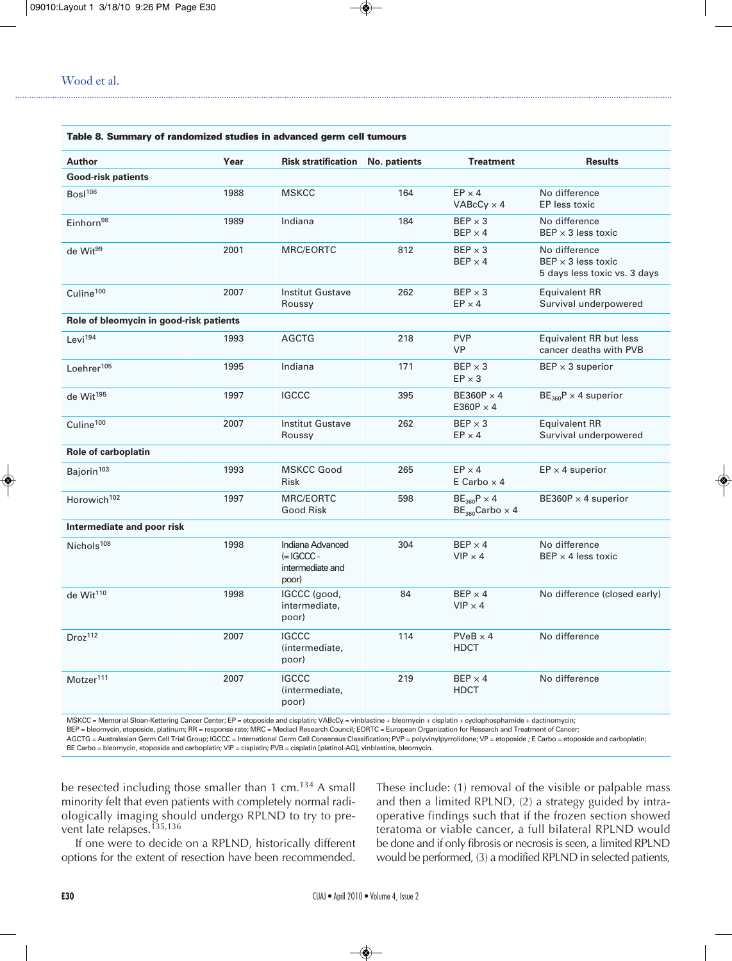|                                         |      | Table 8. Summary of randomized studies in advanced germ cell tumours |              |                                              |                                                                            |  |  |  |  |
|-----------------------------------------|------|----------------------------------------------------------------------|--------------|----------------------------------------------|----------------------------------------------------------------------------|--|--|--|--|
| <b>Author</b>                           | Year | <b>Risk stratification</b>                                           | No. patients | <b>Treatment</b>                             | <b>Results</b>                                                             |  |  |  |  |
| <b>Good-risk patients</b>               |      |                                                                      |              |                                              |                                                                            |  |  |  |  |
| Bosl <sup>106</sup>                     | 1988 | <b>MSKCC</b>                                                         | 164          | $EP \times 4$<br>VABcCy $\times$ 4           | No difference<br>EP less toxic                                             |  |  |  |  |
| Einhorn <sup>98</sup>                   | 1989 | Indiana                                                              | 184          | $BEP \times 3$<br>$BEP \times 4$             | No difference<br>BEP $\times$ 3 less toxic                                 |  |  |  |  |
| de Wit <sup>99</sup>                    | 2001 | MRC/EORTC                                                            | 812          | $BEP \times 3$<br>$BEP \times 4$             | No difference<br>$BEP \times 3$ less toxic<br>5 days less toxic vs. 3 days |  |  |  |  |
| Culine <sup>100</sup>                   | 2007 | <b>Institut Gustave</b><br>Roussy                                    | 262          | $BEP \times 3$<br>$EP \times 4$              | <b>Equivalent RR</b><br>Survival underpowered                              |  |  |  |  |
| Role of bleomycin in good-risk patients |      |                                                                      |              |                                              |                                                                            |  |  |  |  |
| Levi <sup>194</sup>                     | 1993 | AGCTG                                                                | 218          | <b>PVP</b><br><b>VP</b>                      | Equivalent RR but less<br>cancer deaths with PVB                           |  |  |  |  |
| Loehrer <sup>105</sup>                  | 1995 | Indiana                                                              | 171          | $BEP \times 3$<br>$EP \times 3$              | $BEP \times 3$ superior                                                    |  |  |  |  |
| de Wit <sup>195</sup>                   | 1997 | <b>IGCCC</b>                                                         | 395          | BE360P × 4<br>E360P $\times$ 4               | $BE_{360}P \times 4$ superior                                              |  |  |  |  |
| Culine <sup>100</sup>                   | 2007 | <b>Institut Gustave</b><br>Roussy                                    | 262          | $BEP \times 3$<br>$EP \times 4$              | <b>Equivalent RR</b><br>Survival underpowered                              |  |  |  |  |
| Role of carboplatin                     |      |                                                                      |              |                                              |                                                                            |  |  |  |  |
| Bajorin <sup>103</sup>                  | 1993 | <b>MSKCC Good</b><br><b>Risk</b>                                     | 265          | $EP \times 4$<br>$E$ Carbo $\times$ 4        | $EP \times 4$ superior                                                     |  |  |  |  |
| Horowich <sup>102</sup>                 | 1997 | <b>MRC/EORTC</b><br><b>Good Risk</b>                                 | 598          | $BE_{360}P \times 4$<br>$BE_{360}$ Carbo × 4 | BE360P $\times$ 4 superior                                                 |  |  |  |  |
| Intermediate and poor risk              |      |                                                                      |              |                                              |                                                                            |  |  |  |  |
| Nichols <sup>108</sup>                  | 1998 | Indiana Advanced<br>$=$ IGCCC -<br>intermediate and<br>poor)         | 304          | $BEP \times 4$<br>$VIP \times 4$             | No difference<br>$BEP \times 4$ less toxic                                 |  |  |  |  |
| de Wit <sup>110</sup>                   | 1998 | IGCCC (good,<br>intermediate,<br>poor)                               | 84           | $BEP \times 4$<br>$VIP \times 4$             | No difference (closed early)                                               |  |  |  |  |
| Droz <sup>112</sup>                     | 2007 | <b>IGCCC</b><br>(intermediate,<br>poor)                              | 114          | $PVeB \times 4$<br><b>HDCT</b>               | No difference                                                              |  |  |  |  |
| Motzer <sup>111</sup>                   | 2007 | <b>IGCCC</b><br>(intermediate,<br>poor)                              | 219          | $BEP \times 4$<br><b>HDCT</b>                | No difference                                                              |  |  |  |  |

BEP = bleomycin, etoposide, platinum; RR = response rate; MRC = Mediacl Research Council; EORTC = European Organization for Research and Treatment of Cancer;

AGCTG = Australasian Germ Cell Trial Group; IGCCC = International Germ Cell Consensus Classification; PVP = polyvinylpyrrolidone; VP = etoposide ; E Carbo = etoposide and carboplatin;

BE Carbo = bleomycin, etoposide and carboplatin; VIP = cisplatin; PVB = cisplatin [platinol-AQ], vinblastine, bleomycin.

be resected including those smaller than 1 cm.<sup>134</sup> A small minority felt that even patients with completely normal radiologically imaging should undergo RPLND to try to prevent late relapses. 135,136

If one were to decide on a RPLND, historically different options for the extent of resection have been recommended.

These include: (1) removal of the visible or palpable mass and then a limited RPLND, (2) a strategy guided by intraoperative findings such that if the frozen section showed teratoma or viable cancer, a full bilateral RPLND would be done and if only fibrosis or necrosis is seen, a limited RPLND would be performed, (3) a modified RPLND in selected patients,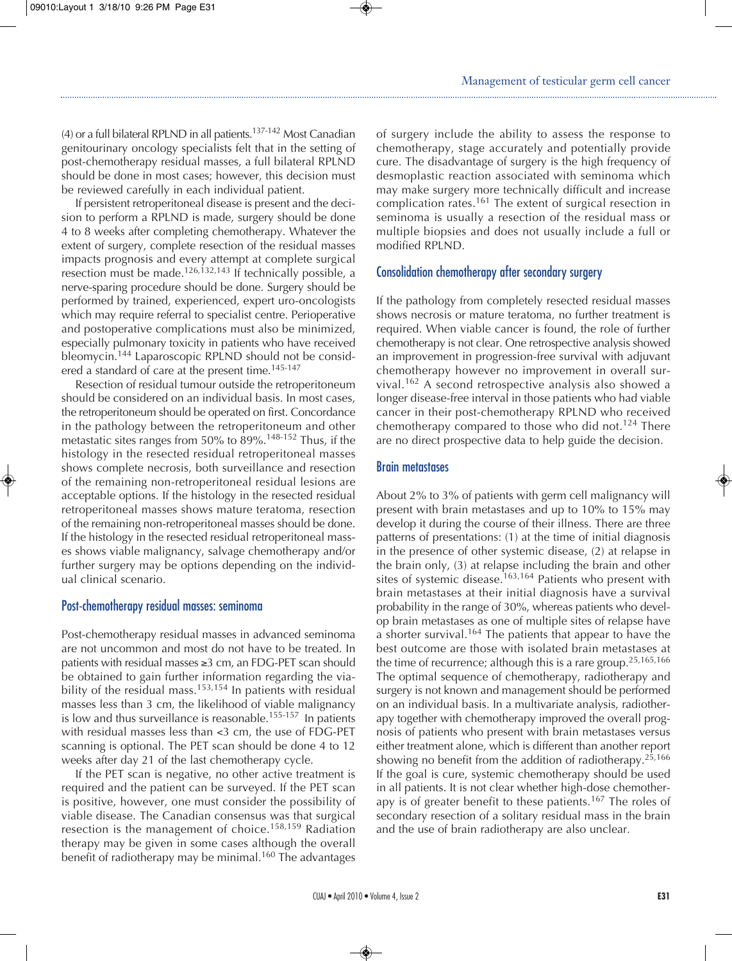(4) or a full bilateral RPLND in all patients.<sup>137-142</sup> Most Canadian genitourinary oncology specialists felt that in the setting of post-chemotherapy residual masses, a full bilateral RPLND should be done in most cases; however, this decision must be reviewed carefully in each individual patient.

If persistent retroperitoneal disease is present and the decision to perform a RPLND is made, surgery should be done 4 to 8 weeks after completing chemotherapy. Whatever the extent of surgery, complete resection of the residual masses impacts prognosis and every attempt at complete surgical resection must be made.<sup>126,132,143</sup> If technically possible, a nerve-sparing procedure should be done. Surgery should be performed by trained, experienced, expert uro-oncologists which may require referral to specialist centre. Perioperative and postoperative complications must also be minimized, especially pulmonary toxicity in patients who have received bleomycin. <sup>144</sup> Laparoscopic RPLND should not be considered a standard of care at the present time. 145-147

Resection of residual tumour outside the retroperitoneum should be considered on an individual basis. In most cases, the retroperitoneum should be operated on first. Concordance in the pathology between the retroperitoneum and other metastatic sites ranges from 50% to 89%. 148-152 Thus, if the histology in the resected residual retroperitoneal masses shows complete necrosis, both surveillance and resection of the remaining non-retroperitoneal residual lesions are acceptable options. If the histology in the resected residual retroperitoneal masses shows mature teratoma, resection of the remaining non-retroperitoneal masses should be done. If the histology in the resected residual retroperitoneal masses shows viable malignancy, salvage chemotherapy and/or further surgery may be options depending on the individual clinical scenario.

## Post-chemotherapy residual masses: seminoma

Post-chemotherapy residual masses in advanced seminoma are not uncommon and most do not have to be treated. In patients with residual masses ≥3 cm, an FDG-PET scan should be obtained to gain further information regarding the viability of the residual mass.<sup>153,154</sup> In patients with residual masses less than 3 cm, the likelihood of viable malignancy is low and thus surveillance is reasonable.<sup>155-157</sup> In patients with residual masses less than <3 cm, the use of FDG-PET scanning is optional. The PET scan should be done 4 to 12 weeks after day 21 of the last chemotherapy cycle.

If the PET scan is negative, no other active treatment is required and the patient can be surveyed. If the PET scan is positive, however, one must consider the possibility of viable disease. The Canadian consensus was that surgical resection is the management of choice.<sup>158,159</sup> Radiation therapy may be given in some cases although the overall benefit of radiotherapy may be minimal. <sup>160</sup> The advantages

of surgery include the ability to assess the response to chemotherapy, stage accurately and potentially provide cure. The disadvantage of surgery is the high frequency of desmoplastic reaction associated with seminoma which may make surgery more technically difficult and increase complication rates. <sup>161</sup> The extent of surgical resection in seminoma is usually a resection of the residual mass or multiple biopsies and does not usually include a full or modified RPLND.

## Consolidation chemotherapy after secondary surgery

If the pathology from completely resected residual masses shows necrosis or mature teratoma, no further treatment is required. When viable cancer is found, the role of further chemotherapy is not clear. One retrospective analysis showed an improvement in progression-free survival with adjuvant chemotherapy however no improvement in overall survival. <sup>162</sup> A second retrospective analysis also showed a longer disease-free interval in those patients who had viable cancer in their post-chemotherapy RPLND who received chemotherapy compared to those who did not. <sup>124</sup> There are no direct prospective data to help guide the decision.

#### Brain metastases

About 2% to 3% of patients with germ cell malignancy will present with brain metastases and up to 10% to 15% may develop it during the course of their illness. There are three patterns of presentations: (1) at the time of initial diagnosis in the presence of other systemic disease, (2) at relapse in the brain only, (3) at relapse including the brain and other sites of systemic disease.<sup>163,164</sup> Patients who present with brain metastases at their initial diagnosis have a survival probability in the range of 30%, whereas patients who develop brain metastases as one of multiple sites of relapse have a shorter survival.<sup>164</sup> The patients that appear to have the best outcome are those with isolated brain metastases at the time of recurrence; although this is a rare group. 25,165,166 The optimal sequence of chemotherapy, radiotherapy and surgery is not known and management should be performed on an individual basis. In a multivariate analysis, radiotherapy together with chemotherapy improved the overall prognosis of patients who present with brain metastases versus either treatment alone, which is different than another report showing no benefit from the addition of radiotherapy.<sup>25,166</sup> If the goal is cure, systemic chemotherapy should be used in all patients. It is not clear whether high-dose chemotherapy is of greater benefit to these patients.<sup>167</sup> The roles of secondary resection of a solitary residual mass in the brain and the use of brain radiotherapy are also unclear.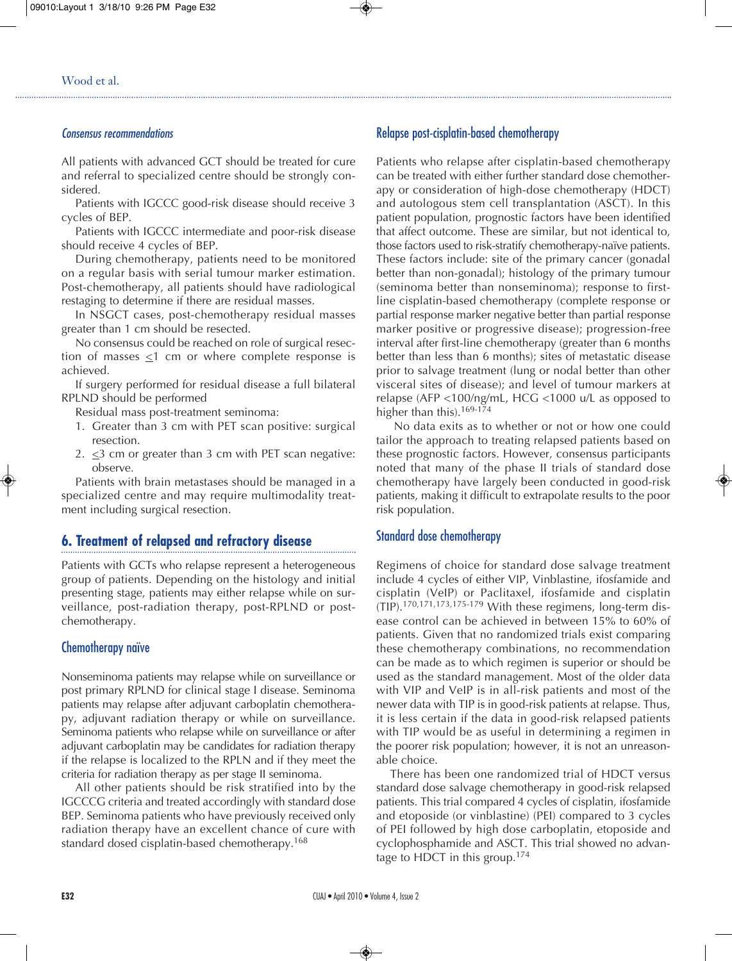#### Wood et al. . . . . . . . . . . . . . . . . . . .

#### *Consensus recommendations*

All patients with advanced GCT should be treated for cure and referral to specialized centre should be strongly considered.

Patients with IGCCC good-risk disease should receive 3 cycles of BEP.

Patients with IGCCC intermediate and poor-risk disease should receive 4 cycles of BEP.

During chemotherapy, patients need to be monitored on a regular basis with serial tumour marker estimation. Post-chemotherapy, all patients should have radiological restaging to determine if there are residual masses.

In NSGCT cases, post-chemotherapy residual masses greater than 1 cm should be resected.

No consensus could be reached on role of surgical resection of masses  $\leq$ 1 cm or where complete response is achieved.

If surgery performed for residual disease a full bilateral RPLND should be performed

Residual mass post-treatment seminoma:

- 1. Greater than 3 cm with PET scan positive: surgical resection.
- 2.  $\leq$ 3 cm or greater than 3 cm with PET scan negative: observe.

Patients with brain metastases should be managed in a specialized centre and may require multimodality treatment including surgical resection.

# **6. Treatment of relapsed and refractory disease**

Patients with GCTs who relapse represent a heterogeneous group of patients. Depending on the histology and initial presenting stage, patients may either relapse while on surveillance, post-radiation therapy, post-RPLND or postchemotherapy.

## Chemotherapy naïve

Nonseminoma patients may relapse while on surveillance or post primary RPLND for clinical stage I disease. Seminoma patients may relapse after adjuvant carboplatin chemotherapy, adjuvant radiation therapy or while on surveillance. Seminoma patients who relapse while on surveillance or after adjuvant carboplatin may be candidates for radiation therapy if the relapse is localized to the RPLN and if they meet the criteria for radiation therapy as per stage II seminoma.

All other patients should be risk stratified into by the IGCCCG criteria and treated accordingly with standard dose BEP. Seminoma patients who have previously received only radiation therapy have an excellent chance of cure with standard dosed cisplatin-based chemotherapy.<sup>168</sup>

# Relapse post-cisplatin-based chemotherapy

Patients who relapse after cisplatin-based chemotherapy can be treated with either further standard dose chemotherapy or consideration of high-dose chemotherapy (HDCT) and autologous stem cell transplantation (ASCT). In this patient population, prognostic factors have been identified that affect outcome. These are similar, but not identical to, those factors used to risk-stratify chemotherapy-naïve patients. These factors include: site of the primary cancer (gonadal better than non-gonadal); histology of the primary tumour (seminoma better than nonseminoma); response to firstline cisplatin-based chemotherapy (complete response or partial response marker negative better than partial response marker positive or progressive disease); progression-free interval after first-line chemotherapy (greater than 6 months better than less than 6 months); sites of metastatic disease prior to salvage treatment (lung or nodal better than other visceral sites of disease); and level of tumour markers at relapse (AFP <100/ng/mL, HCG <1000 u/L as opposed to higher than this).<sup>169-174</sup>

No data exits as to whether or not or how one could tailor the approach to treating relapsed patients based on these prognostic factors. However, consensus participants noted that many of the phase II trials of standard dose chemotherapy have largely been conducted in good-risk patients, making it difficult to extrapolate results to the poor risk population.

## Standard dose chemotherapy

Regimens of choice for standard dose salvage treatment include 4 cycles of either VIP, Vinblastine, ifosfamide and cisplatin (VeIP) or Paclitaxel, ifosfamide and cisplatin  $(TIP).$ <sup>170,171,173,175-179</sup> With these regimens, long-term disease control can be achieved in between 15% to 60% of patients. Given that no randomized trials exist comparing these chemotherapy combinations, no recommendation can be made as to which regimen is superior or should be used as the standard management. Most of the older data with VIP and VeIP is in all-risk patients and most of the newer data with TIP is in good-risk patients at relapse. Thus, it is less certain if the data in good-risk relapsed patients with TIP would be as useful in determining a regimen in the poorer risk population; however, it is not an unreasonable choice.

There has been one randomized trial of HDCT versus standard dose salvage chemotherapy in good-risk relapsed patients. This trial compared 4 cycles of cisplatin, ifosfamide and etoposide (or vinblastine) (PEI) compared to 3 cycles of PEI followed by high dose carboplatin, etoposide and cyclophosphamide and ASCT. This trial showed no advantage to HDCT in this group.<sup>174</sup>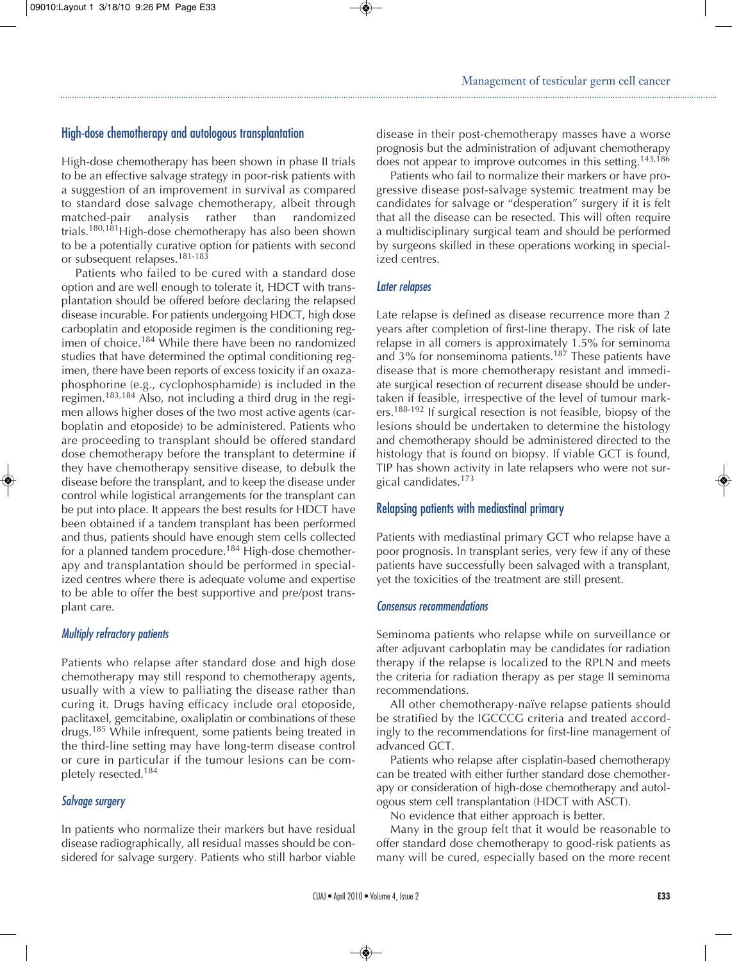## High-dose chemotherapy and autologous transplantation

High-dose chemotherapy has been shown in phase II trials to be an effective salvage strategy in poor-risk patients with a suggestion of an improvement in survival as compared to standard dose salvage chemotherapy, albeit through matched-pair analysis rather than randomized trials. 180,181High-dose chemotherapy has also been shown to be a potentially curative option for patients with second or subsequent relapses. 181-183

Patients who failed to be cured with a standard dose option and are well enough to tolerate it, HDCT with transplantation should be offered before declaring the relapsed disease incurable. For patients undergoing HDCT, high dose carboplatin and etoposide regimen is the conditioning regimen of choice. <sup>184</sup> While there have been no randomized studies that have determined the optimal conditioning regimen, there have been reports of excess toxicity if an oxazaphosphorine (e.g., cyclophosphamide) is included in the regimen. 183,184 Also, not including a third drug in the regimen allows higher doses of the two most active agents (carboplatin and etoposide) to be administered. Patients who are proceeding to transplant should be offered standard dose chemotherapy before the transplant to determine if they have chemotherapy sensitive disease, to debulk the disease before the transplant, and to keep the disease under control while logistical arrangements for the transplant can be put into place. It appears the best results for HDCT have been obtained if a tandem transplant has been performed and thus, patients should have enough stem cells collected for a planned tandem procedure.<sup>184</sup> High-dose chemotherapy and transplantation should be performed in specialized centres where there is adequate volume and expertise to be able to offer the best supportive and pre/post transplant care.

#### *Multiply refractory patients*

Patients who relapse after standard dose and high dose chemotherapy may still respond to chemotherapy agents, usually with a view to palliating the disease rather than curing it. Drugs having efficacy include oral etoposide, paclitaxel, gemcitabine, oxaliplatin or combinations of these drugs. <sup>185</sup> While infrequent, some patients being treated in the third-line setting may have long-term disease control or cure in particular if the tumour lesions can be completely resected. 184

## *Salvage surgery*

In patients who normalize their markers but have residual disease radiographically, all residual masses should be considered for salvage surgery. Patients who still harbor viable disease in their post-chemotherapy masses have a worse prognosis but the administration of adjuvant chemotherapy does not appear to improve outcomes in this setting.<sup>143,186</sup>

Patients who fail to normalize their markers or have progressive disease post-salvage systemic treatment may be candidates for salvage or "desperation" surgery if it is felt that all the disease can be resected. This will often require a multidisciplinary surgical team and should be performed by surgeons skilled in these operations working in specialized centres.

#### *Later relapses*

Late relapse is defined as disease recurrence more than 2 years after completion of first-line therapy. The risk of late relapse in all comers is approximately 1.5% for seminoma and 3% for nonseminoma patients. <sup>187</sup> These patients have disease that is more chemotherapy resistant and immediate surgical resection of recurrent disease should be undertaken if feasible, irrespective of the level of tumour markers.<sup>188-192</sup> If surgical resection is not feasible, biopsy of the lesions should be undertaken to determine the histology and chemotherapy should be administered directed to the histology that is found on biopsy. If viable GCT is found, TIP has shown activity in late relapsers who were not surgical candidates. 173

### Relapsing patients with mediastinal primary

Patients with mediastinal primary GCT who relapse have a poor prognosis. In transplant series, very few if any of these patients have successfully been salvaged with a transplant, yet the toxicities of the treatment are still present.

#### *Consensus recommendations*

Seminoma patients who relapse while on surveillance or after adjuvant carboplatin may be candidates for radiation therapy if the relapse is localized to the RPLN and meets the criteria for radiation therapy as per stage II seminoma recommendations.

All other chemotherapy-naïve relapse patients should be stratified by the IGCCCG criteria and treated accordingly to the recommendations for first-line management of advanced GCT.

Patients who relapse after cisplatin-based chemotherapy can be treated with either further standard dose chemotherapy or consideration of high-dose chemotherapy and autologous stem cell transplantation (HDCT with ASCT).

No evidence that either approach is better.

Many in the group felt that it would be reasonable to offer standard dose chemotherapy to good-risk patients as many will be cured, especially based on the more recent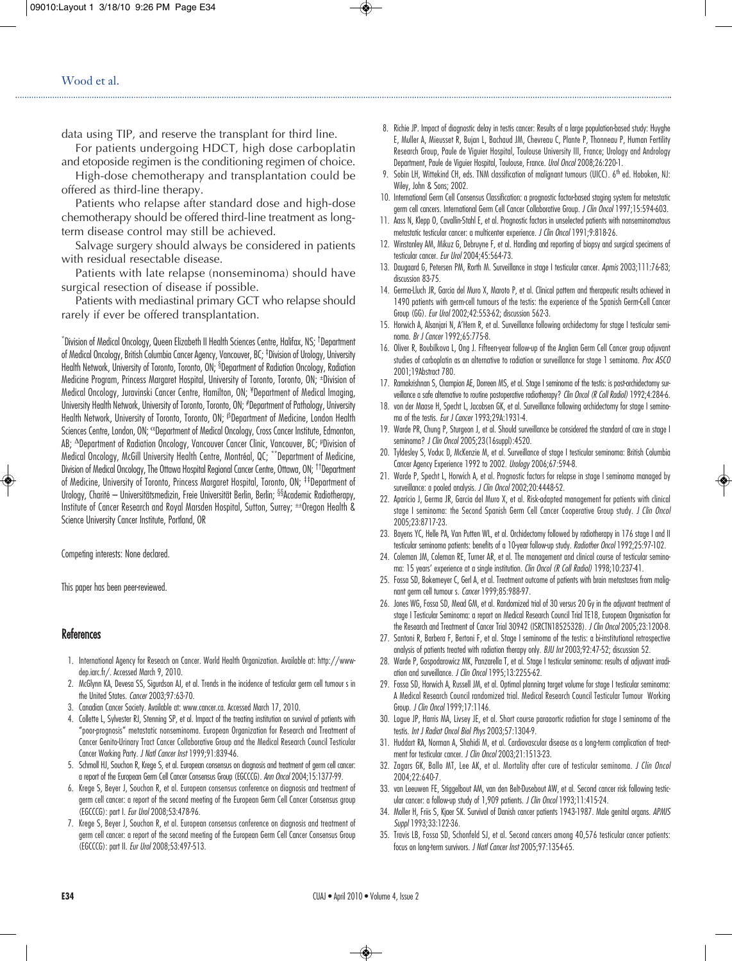data using TIP, and reserve the transplant for third line.

For patients undergoing HDCT, high dose carboplatin and etoposide regimen is the conditioning regimen of choice.

High-dose chemotherapy and transplantation could be offered as third-line therapy.

Patients who relapse after standard dose and high-dose chemotherapy should be offered third-line treatment as longterm disease control may still be achieved.

Salvage surgery should always be considered in patients with residual resectable disease.

Patients with late relapse (nonseminoma) should have surgical resection of disease if possible.

Patients with mediastinal primary GCT who relapse should rarely if ever be offered transplantation.

\*Division of Medical Oncology, Queen Elizabeth II Health Sciences Centre, Halifax, NS; †Department of Medical Oncology, British Columbia Cancer Agency, Vancouver, BC; ‡Division of Urology, University Health Network, University of Toronto, Toronto, ON; § Department of Radiation Oncology, Radiation Medicine Program, Princess Margaret Hospital, University of Toronto, Toronto, ON; <sup>±</sup> Division of Medical Oncology, Juravinski Cancer Centre, Hamilton, ON; ¥ Department of Medical Imaging, University Health Network, University of Toronto, Toronto, ON; #Department of Pathology, University Health Network, University of Toronto, Toronto, ON; <sup>β</sup>Department of Medicine, London Health Sciences Centre, London, ON; <sup>αx</sup>Department of Medical Oncology, Cross Cancer Institute, Edmonton, AB; <sup>∆</sup>Department of Radiation Oncology, Vancouver Cancer Clinic, Vancouver, BC; <sup>µ</sup>Division of Medical Oncology, McGill University Health Centre, Montréal, QC; \*\* Department of Medicine, Division of Medical Oncology, The Ottawa Hospital Regional Cancer Centre, Ottawa, ON; <sup>††</sup>Department of Medicine, University of Toronto, Princess Margaret Hospital, Toronto, ON; ‡‡ Department of Urology, Charité — Universitätsmedizin, Freie Universität Berlin, Berlin; <sup>§§</sup>Academic Radiotherapy, Institute of Cancer Research and Royal Marsden Hospital, Sutton, Surrey; ±±Oregon Health & Science University Cancer Institute, Portland, OR

Competing interests: None declared.

This paper has been peer-reviewed.

#### References

- 1. International Agency for Reseach on Cancer. World Health Organization. Available at: http://wwwdep.iarc.fr/. Accessed March 9, 2010.
- 2. McGlynn KA, Devesa SS, Sigurdson AJ, et al. Trends in the incidence of testicular germ cell tumour s in the United States. *Cancer* 2003;97:63-70.
- 3. Canadian Cancer Society. Available at: www.cancer.ca. Accessed March 17, 2010.
- 4. Collette L, Sylvester RJ, Stenning SP, et al. Impact of the treating institution on survival of patients with "poor-prognosis" metastatic nonseminoma. European Organization for Research and Treatment of Cancer Genito-Urinary Tract Cancer Collaborative Group and the Medical Research Council Testicular Cancer Working Party. *J Natl Cancer Inst* 1999;91:839-46.
- 5. Schmoll HJ, Souchon R, Krege S, et al. European consensus on diagnosis and treatment of germ cell cancer: a report of the European Germ Cell Cancer Consensus Group (EGCCCG). *Ann Oncol* 2004;15:1377-99.
- 6. Krege S, Beyer J, Souchon R, et al. European consensus conference on diagnosis and treatment of germ cell cancer: a report of the second meeting of the European Germ Cell Cancer Consensus group (EGCCCG): part I. *Eur Urol* 2008;53:478-96.
- 7. Krege S, Beyer J, Souchon R, et al. European consensus conference on diagnosis and treatment of germ cell cancer: a report of the second meeting of the European Germ Cell Cancer Consensus Group (EGCCCG): part II. *Eur Urol* 2008;53:497-513.

8. Richie JP. Impact of diagnostic delay in testis cancer: Results of a large population-based study: Huyghe E, Muller A, Mieusset R, Bujan L, Bachaud JM, Chevreau C, Plante P, Thonneau P, Human Fertility Research Group, Paule de Viguier Hospital, Toulouse University III, France; Urology and Andrology Department, Paule de Viguier Hospital, Toulouse, France. *Urol Oncol* 2008;26:220-1.

- 9. Sobin LH, Wittekind CH, eds. TNM classification of malignant tumours (UICC). 6<sup>th</sup> ed. Hoboken, NJ: Wiley, John & Sons; 2002.
- 10. International Germ Cell Consensus Classification: a prognostic factor-based staging system for metastatic germ cell cancers. International Germ Cell Cancer Collaborative Group. *J Clin Oncol* 1997;15:594-603.
- 11. Aass N, Klepp O, Cavallin-Stahl E, et al. Prognostic factors in unselected patients with nonseminomatous metastatic testicular cancer: a multicenter experience. *J Clin Oncol* 1991;9:818-26.
- 12. Winstanley AM, Mikuz G, Debruyne F, et al. Handling and reporting of biopsy and surgical specimens of testicular cancer. *Eur Urol* 2004;45:564-73.
- 13. Daugaard G, Petersen PM, Rorth M. Surveillance in stage I testicular cancer. *Apmis* 2003;111:76-83; discussion 83-75.
- 14. Germa-Lluch JR, Garcia del Muro X, Maroto P, et al. Clinical pattern and therapeutic results achieved in 1490 patients with germ-cell tumours of the testis: the experience of the Spanish Germ-Cell Cancer Group (GG). *Eur Urol* 2002;42:553-62; discussion 562-3.
- 15. Horwich A, Alsanjari N, A'Hern R, et al. Surveillance following orchidectomy for stage I testicular seminoma. *Br J Cancer* 1992;65:775-8.
- 16. Oliver R, Boubilkova L, Ong J. Fifteen-year follow-up of the Anglian Germ Cell Cancer group adjuvant studies of carboplatin as an alternative to radiation or surveillance for stage 1 seminoma. *Proc ASCO* 2001;19Abstract 780.
- 17. Ramakrishnan S, Champion AE, Dorreen MS, et al. Stage I seminoma of the testis: is post-orchidectomy surveillance a safe alternative to routine postoperative radiotherapy? *Clin Oncol (R Coll Radiol)* 1992;4:284-6.
- 18. von der Maase H, Specht L, Jacobsen GK, et al. Surveillance following orchidectomy for stage I seminoma of the testis. *Eur J Cancer* 1993;29A:1931-4.
- 19. Warde PR, Chung P, Sturgeon J, et al. Should surveillance be considered the standard of care in stage I seminoma? *J Clin Oncol* 2005;23(16suppl):4520.
- 20. Tyldesley S, Voduc D, McKenzie M, et al. Surveillance of stage I testicular seminoma: British Columbia Cancer Agency Experience 1992 to 2002. *Urology* 2006;67:594-8.
- 21. Warde P, Specht L, Horwich A, et al. Prognostic factors for relapse in stage I seminoma managed by surveillance: a pooled analysis. *J Clin Oncol* 2002;20:4448-52.
- 22. Aparicio J, Germa JR, Garcia del Muro X, et al. Risk-adapted management for patients with clinical stage I seminoma: the Second Spanish Germ Cell Cancer Cooperative Group study. *J Clin Oncol* 2005;23:8717-23.
- 23. Bayens YC, Helle PA, Van Putten WL, et al. Orchidectomy followed by radiotherapy in 176 stage I and II testicular seminoma patients: benefits of a 10-year follow-up study. *Radiother Oncol* 1992;25:97-102.
- 24. Coleman JM, Coleman RE, Turner AR, et al. The management and clinical course of testicular seminoma: 15 years' experience at a single institution. *Clin Oncol (R Coll Radiol)* 1998;10:237-41.
- 25. Fossa SD, Bokemeyer C, Gerl A, et al. Treatment outcome of patients with brain metastases from malignant germ cell tumour s. *Cancer* 1999;85:988-97.
- 26. Jones WG, Fossa SD, Mead GM, et al. Randomized trial of 30 versus 20 Gy in the adjuvant treatment of stage I Testicular Seminoma: a report on Medical Research Council Trial TE18, European Organisation for the Research and Treatment of Cancer Trial 30942 (ISRCTN18525328). *J Clin Oncol* 2005;23:1200-8.
- 27. Santoni R, Barbera F, Bertoni F, et al. Stage I seminoma of the testis: a bi-institutional retrospective analysis of patients treated with radiation therapy only. *BJU Int* 2003;92:47-52; discussion 52.
- 28. Warde P, Gospodarowicz MK, Panzarella T, et al. Stage I testicular seminoma: results of adjuvant irradiation and surveillance. *J Clin Oncol* 1995;13:2255-62.
- 29. Fossa SD, Horwich A, Russell JM, et al. Optimal planning target volume for stage I testicular seminoma: A Medical Research Council randomized trial. Medical Research Council Testicular Tumour Working Group. *J Clin Oncol* 1999;17:1146.
- 30. Logue JP, Harris MA, Livsey JE, et al. Short course paraaortic radiation for stage I seminoma of the testis. *Int J Radiat Oncol Biol Phys* 2003;57:1304-9.
- 31. Huddart RA, Norman A, Shahidi M, et al. Cardiovascular disease as a long-term complication of treatment for testicular cancer. *J Clin Oncol* 2003;21:1513-23.
- 32. Zagars GK, Ballo MT, Lee AK, et al. Mortality after cure of testicular seminoma. *J Clin Oncol* 2004;22:640-7.
- 33. van Leeuwen FE, Stiggelbout AM, van den Belt-Dusebout AW, et al. Second cancer risk following testicular cancer: a follow-up study of 1,909 patients. *J Clin Oncol* 1993;11:415-24.
- 34. Moller H, Friis S, Kjaer SK. Survival of Danish cancer patients 1943-1987. Male genital organs. *APMIS Suppl* 1993;33:122-36.
- 35. Travis LB, Fossa SD, Schonfeld SJ, et al. Second cancers among 40,576 testicular cancer patients: focus on long-term survivors. *J Natl Cancer Inst* 2005;97:1354-65.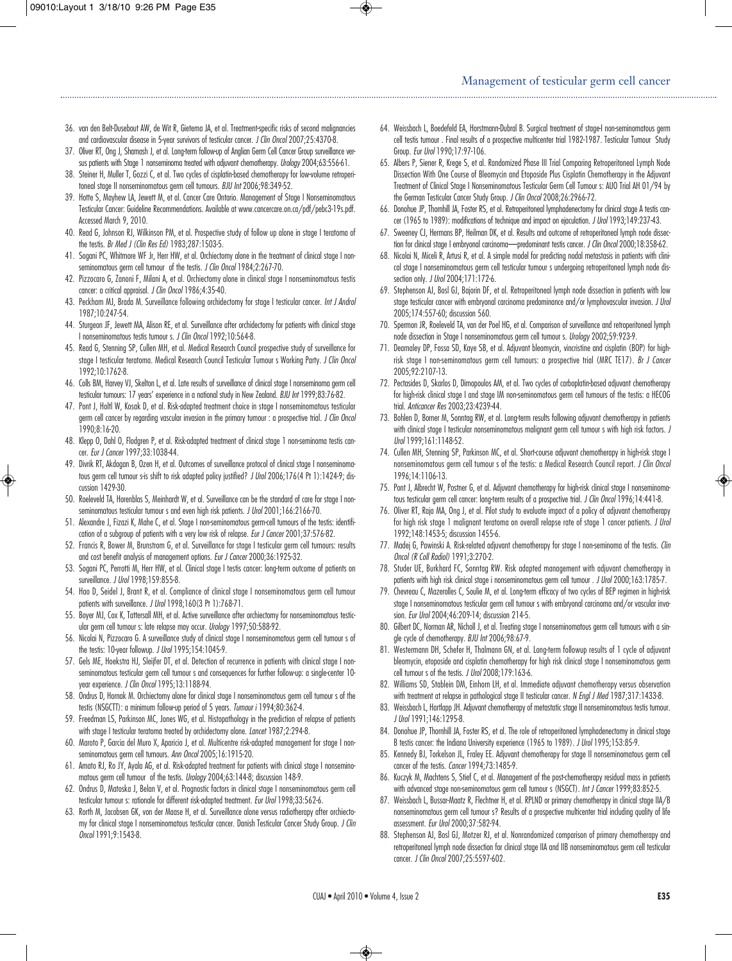- 36. van den Belt-Dusebout AW, de Wit R, Gietema JA, et al. Treatment-specific risks of second malignancies and cardiovascular disease in 5-year survivors of testicular cancer. *J Clin Oncol* 2007;25:4370-8.
- 37. Oliver RT, Ong J, Shamash J, et al. Long-term follow-up of Anglian Germ Cell Cancer Group surveillance versus patients with Stage 1 nonseminoma treated with adjuvant chemotherapy. *Urology* 2004;63:556-61.
- 38. Steiner H, Muller T, Gozzi C, et al. Two cycles of cisplatin-based chemotherapy for low-volume retroperitoneal stage II nonseminomatous germ cell tumours. *BJU Int* 2006;98:349-52.
- 39. Hotte S, Mayhew LA, Jewett M, et al. Cancer Care Ontario. Management of Stage I Nonseminomatous Testicular Cancer: Guideline Recommendations. Available at www.cancercare.on.ca/pdf/pebc3-19s.pdf. Accessed March 9, 2010.
- 40. Read G, Johnson RJ, Wilkinson PM, et al. Prospective study of follow up alone in stage I teratoma of the testis. *Br Med J (Clin Res Ed)* 1983;287:1503-5.
- 41. Sogani PC, Whitmore WF Jr, Herr HW, et al. Orchiectomy alone in the treatment of clinical stage I nonseminomatous germ cell tumour of the testis. *J Clin Oncol* 1984;2:267-70.
- 42. Pizzocaro G, Zanoni F, Milani A, et al. Orchiectomy alone in clinical stage I nonseminomatous testis cancer: a critical appraisal. *J Clin Oncol* 1986;4:35-40.
- 43. Peckham MJ, Brada M. Surveillance following orchidectomy for stage I testicular cancer. *Int J Androl* 1987;10:247-54.
- 44. Sturgeon JF, Jewett MA, Alison RE, et al. Surveillance after orchidectomy for patients with clinical stage I nonseminomatous testis tumour s. *J Clin Oncol* 1992;10:564-8.
- 45. Read G, Stenning SP, Cullen MH, et al. Medical Research Council prospective study of surveillance for stage I testicular teratoma. Medical Research Council Testicular Tumour s Working Party. *J Clin Oncol* 1992;10:1762-8.
- 46. Colls BM, Harvey VJ, Skelton L, et al. Late results of surveillance of clinical stage I nonseminoma germ cell testicular tumours: 17 years' experience in a national study in New Zealand. *BJU Int* 1999;83:76-82.
- 47. Pont J, Holtl W, Kosak D, et al. Risk-adapted treatment choice in stage I nonseminomatous testicular germ cell cancer by regarding vascular invasion in the primary tumour : a prospective trial. *J Clin Oncol* 1990;8:16-20.
- 48. Klepp O, Dahl O, Flodgren P, et al. Risk-adapted treatment of clinical stage 1 non-seminoma testis cancer. *Eur J Cancer* 1997;33:1038-44.
- 49. Divrik RT, Akdogan B, Ozen H, et al. Outcomes of surveillance protocol of clinical stage I nonseminomatous germ cell tumour s-is shift to risk adapted policy justified? *J Urol* 2006;176(4 Pt 1):1424-9; discussion 1429-30.
- 50. Roeleveld TA, Horenblas S, Meinhardt W, et al. Surveillance can be the standard of care for stage I nonseminomatous testicular tumour s and even high risk patients. *J Urol* 2001;166:2166-70.
- 51. Alexandre J, Fizazi K, Mahe C, et al. Stage I non-seminomatous germ-cell tumours of the testis: identification of a subgroup of patients with a very low risk of relapse. *Eur J Cancer* 2001;37:576-82.
- 52. Francis R, Bower M, Brunstrom G, et al. Surveillance for stage I testicular germ cell tumours: results and cost benefit analysis of management options. *Eur J Cancer* 2000;36:1925-32.
- 53. Sogani PC, Perrotti M, Herr HW, et al. Clinical stage I testis cancer: long-term outcome of patients on surveillance. *J Urol* 1998;159:855-8.
- 54. Hao D, Seidel J, Brant R, et al. Compliance of clinical stage I nonseminomatous germ cell tumour patients with surveillance. *J Urol* 1998;160(3 Pt 1):768-71.
- 55. Boyer MJ, Cox K, Tattersall MH, et al. Active surveillance after orchiectomy for nonseminomatous testicular germ cell tumour s: late relapse may occur. *Urology* 1997;50:588-92.
- 56. Nicolai N, Pizzocaro G. A surveillance study of clinical stage I nonseminomatous germ cell tumour s of the testis: 10-year followup. *J Urol* 1995;154:1045-9.
- 57. Gels ME, Hoekstra HJ, Sleijfer DT, et al. Detection of recurrence in patients with clinical stage I nonseminomatous testicular germ cell tumour s and consequences for further follow-up: a single-center 10 year experience. *J Clin Oncol* 1995;13:1188-94.
- 58. Ondrus D, Hornak M. Orchiectomy alone for clinical stage I nonseminomatous germ cell tumour s of the testis (NSGCTT): a minimum follow-up period of 5 years. *Tumour i* 1994;80:362-4.
- 59. Freedman LS, Parkinson MC, Jones WG, et al. Histopathology in the prediction of relapse of patients with stage I testicular teratoma treated by orchidectomy alone. *Lancet* 1987;2:294-8.
- 60. Maroto P, Garcia del Muro X, Aparicio J, et al. Multicentre risk-adapted management for stage I nonseminomatous germ cell tumours. *Ann Oncol* 2005;16:1915-20.
- 61. Amato RJ, Ro JY, Ayala AG, et al. Risk-adapted treatment for patients with clinical stage I nonseminomatous germ cell tumour of the testis. *Urology* 2004;63:144-8; discussion 148-9.
- 62. Ondrus D, Matoska J, Belan V, et al. Prognostic factors in clinical stage I nonseminomatous germ cell testicular tumour s: rationale for different risk-adapted treatment. *Eur Urol* 1998;33:562-6.
- 63. Rorth M, Jacobsen GK, von der Maase H, et al. Surveillance alone versus radiotherapy after orchiectomy for clinical stage I nonseminomatous testicular cancer. Danish Testicular Cancer Study Group. *J Clin Oncol* 1991;9:1543-8.

64. Weissbach L, Boedefeld EA, Horstmann-Dubral B. Surgical treatment of stage-I non-seminomatous germ cell testis tumour . Final results of a prospective multicenter trial 1982-1987. Testicular Tumour Study Group. *Eur Urol* 1990;17:97-106.

- 65. Albers P, Siener R, Krege S, et al. Randomized Phase III Trial Comparing Retroperitoneal Lymph Node Dissection With One Course of Bleomycin and Etoposide Plus Cisplatin Chemotherapy in the Adjuvant Treatment of Clinical Stage I Nonseminomatous Testicular Germ Cell Tumour s: AUO Trial AH 01/94 by the German Testicular Cancer Study Group. *J Clin Oncol* 2008;26:2966-72.
- 66. Donohue JP, Thornhill JA, Foster RS, et al. Retroperitoneal lymphadenectomy for clinical stage A testis cancer (1965 to 1989): modifications of technique and impact on ejaculation. *J Urol* 1993;149:237-43.
- 67. Sweeney CJ, Hermans BP, Heilman DK, et al. Results and outcome of retroperitoneal lymph node dissection for clinical stage I embryonal carcinoma—predominant testis cancer. *J Clin Oncol* 2000;18:358-62.
- 68. Nicolai N, Miceli R, Artusi R, et al. A simple model for predicting nodal metastasis in patients with clinical stage I nonseminomatous germ cell testicular tumour s undergoing retroperitoneal lymph node dissection only. *J Urol* 2004;171:172-6.
- 69. Stephenson AJ, Bosl GJ, Bajorin DF, et al. Retroperitoneal lymph node dissection in patients with low stage testicular cancer with embryonal carcinoma predominance and/or lymphovascular invasion. *J Urol* 2005;174:557-60; discussion 560.
- 70. Spermon JR, Roeleveld TA, van der Poel HG, et al. Comparison of surveillance and retroperitoneal lymph node dissection in Stage I nonseminomatous germ cell tumour s. *Urology* 2002;59:923-9.
- 71. Dearnaley DP, Fossa SD, Kaye SB, et al. Adjuvant bleomycin, vincristine and cisplatin (BOP) for highrisk stage I non-seminomatous germ cell tumours: a prospective trial (MRC TE17). *Br J Cancer* 2005;92:2107-13.
- 72. Pectasides D, Skarlos D, Dimopoulos AM, et al. Two cycles of carboplatin-based adjuvant chemotherapy for high-risk clinical stage I and stage IM non-seminomatous germ cell tumours of the testis: a HECOG trial. *Anticancer Res* 2003;23:4239-44.
- 73. Bohlen D, Borner M, Sonntag RW, et al. Long-term results following adjuvant chemotherapy in patients with clinical stage I testicular nonseminomatous malignant germ cell tumour s with high risk factors. *J Urol* 1999;161:1148-52.
- 74. Cullen MH, Stenning SP, Parkinson MC, et al. Short-course adjuvant chemotherapy in high-risk stage I nonseminomatous germ cell tumour s of the testis: a Medical Research Council report. *J Clin Oncol* 1996;14:1106-13.
- 75. Pont J, Albrecht W, Postner G, et al. Adjuvant chemotherapy for high-risk clinical stage I nonseminomatous testicular germ cell cancer: long-term results of a prospective trial. *J Clin Oncol* 1996;14:441-8.
- 76. Oliver RT, Raja MA, Ong J, et al. Pilot study to evaluate impact of a policy of adjuvant chemotherapy for high risk stage 1 malignant teratoma on overall relapse rate of stage 1 cancer patients. *J Urol* 1992;148:1453-5; discussion 1455-6.
- 77. Madej G, Pawinski A. Risk-related adjuvant chemotherapy for stage I non-seminoma of the testis. *Clin Oncol (R Coll Radiol)* 1991;3:270-2.
- 78. Studer UE, Burkhard FC, Sonntag RW. Risk adapted management with adjuvant chemotherapy in patients with high risk clinical stage i nonseminomatous germ cell tumour . *J Urol* 2000;163:1785-7.
- 79. Chevreau C, Mazerolles C, Soulie M, et al. Long-term efficacy of two cycles of BEP regimen in high-risk stage I nonseminomatous testicular germ cell tumour s with embryonal carcinoma and/or vascular invasion. *Eur Urol* 2004;46:209-14; discussion 214-5.
- 80. Gilbert DC, Norman AR, Nicholl J, et al. Treating stage I nonseminomatous germ cell tumours with a single cycle of chemotherapy. *BJU Int* 2006;98:67-9.
- 81. Westermann DH, Schefer H, Thalmann GN, et al. Long-term followup results of 1 cycle of adjuvant bleomycin, etoposide and cisplatin chemotherapy for high risk clinical stage I nonseminomatous germ cell tumour s of the testis. *J Urol* 2008;179:163-6.
- 82. Williams SD, Stablein DM, Einhorn LH, et al. Immediate adjuvant chemotherapy versus observation with treatment at relapse in pathological stage II testicular cancer. *N Engl J Med* 1987;317:1433-8.
- 83. Weissbach L, Hartlapp JH. Adjuvant chemotherapy of metastatic stage II nonseminomatous testis tumour. *J Urol* 1991;146:1295-8.
- 84. Donohue JP, Thornhill JA, Foster RS, et al. The role of retroperitoneal lymphadenectomy in clinical stage B testis cancer: the Indiana University experience (1965 to 1989). *J Urol* 1995;153:85-9.
- 85. Kennedy BJ, Torkelson JL, Fraley EE. Adjuvant chemotherapy for stage II nonseminomatous germ cell cancer of the testis. *Cancer* 1994;73:1485-9.
- 86. Kuczyk M, Machtens S, Stief C, et al. Management of the post-chemotherapy residual mass in patients with advanced stage non-seminomatous germ cell tumour s (NSGCT). *Int J Cancer* 1999;83:852-5.
- 87. Weissbach L, Bussar-Maatz R, Flechtner H, et al. RPLND or primary chemotherapy in clinical stage IIA/B nonseminomatous germ cell tumour s? Results of a prospective multicenter trial including quality of life assessment. *Eur Urol* 2000;37:582-94.
- 88. Stephenson AJ, Bosl GJ, Motzer RJ, et al. Nonrandomized comparison of primary chemotherapy and retroperitoneal lymph node dissection for clinical stage IIA and IIB nonseminomatous germ cell testicular cancer. *J Clin Oncol* 2007;25:5597-602.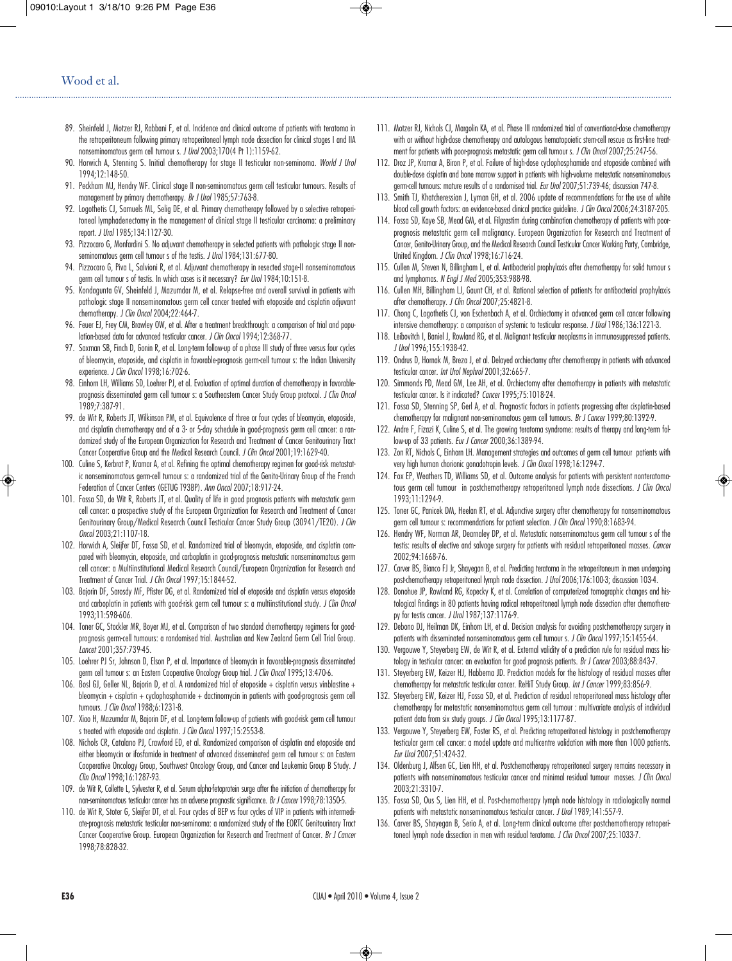89. Sheinfeld J, Motzer RJ, Rabbani F, et al. Incidence and clinical outcome of patients with teratoma in the retroperitoneum following primary retroperitoneal lymph node dissection for clinical stages I and IIA nonseminomatous germ cell tumour s. *J Urol* 2003;170(4 Pt 1):1159-62.

- 90. Horwich A, Stenning S. Initial chemotherapy for stage II testicular non-seminoma. *World J Urol* 1994;12:148-50.
- 91. Peckham MJ, Hendry WF. Clinical stage II non-seminomatous germ cell testicular tumours. Results of management by primary chemotherapy. *Br J Urol* 1985;57:763-8.
- 92. Logothetis CJ, Samuels ML, Selig DE, et al. Primary chemotherapy followed by a selective retroperitoneal lymphadenectomy in the management of clinical stage II testicular carcinoma: a preliminary report. *J Urol* 1985;134:1127-30.
- 93. Pizzocaro G, Monfardini S. No adjuvant chemotherapy in selected patients with pathologic stage II nonseminomatous germ cell tumour s of the testis. *J Urol* 1984;131:677-80.
- 94. Pizzocaro G, Piva L, Salvioni R, et al. Adjuvant chemotherapy in resected stage-II nonseminomatous germ cell tumour s of testis. In which cases is it necessary? *Eur Urol* 1984;10:151-8.
- 95. Kondagunta GV, Sheinfeld J, Mazumdar M, et al. Relapse-free and overall survival in patients with pathologic stage II nonseminomatous germ cell cancer treated with etoposide and cisplatin adjuvant chemotherapy. *J Clin Oncol* 2004;22:464-7.
- 96. Feuer EJ, Frey CM, Brawley OW, et al. After a treatment breakthrough: a comparison of trial and population-based data for advanced testicular cancer. *J Clin Oncol* 1994;12:368-77.
- 97. Saxman SB, Finch D, Gonin R, et al. Long-term follow-up of a phase III study of three versus four cycles of bleomycin, etoposide, and cisplatin in favorable-prognosis germ-cell tumour s: the Indian University experience. *J Clin Oncol* 1998;16:702-6.
- 98. Einhorn LH, Williams SD, Loehrer PJ, et al. Evaluation of optimal duration of chemotherapy in favorableprognosis disseminated germ cell tumour s: a Southeastern Cancer Study Group protocol. *J Clin Oncol* 1989;7:387-91.
- 99. de Wit R, Roberts JT, Wilkinson PM, et al. Equivalence of three or four cycles of bleomycin, etoposide, and cisplatin chemotherapy and of a 3- or 5-day schedule in good-prognosis germ cell cancer: a randomized study of the European Organization for Research and Treatment of Cancer Genitourinary Tract Cancer Cooperative Group and the Medical Research Council. *J Clin Oncol* 2001;19:1629-40.
- 100. Culine S, Kerbrat P, Kramar A, et al. Refining the optimal chemotherapy regimen for good-risk metastatic nonseminomatous germ-cell tumour s: a randomized trial of the Genito-Urinary Group of the French Federation of Cancer Centers (GETUG T93BP). *Ann Oncol* 2007;18:917-24.
- 101. Fossa SD, de Wit R, Roberts JT, et al. Quality of life in good prognosis patients with metastatic germ cell cancer: a prospective study of the European Organization for Research and Treatment of Cancer Genitourinary Group/Medical Research Council Testicular Cancer Study Group (30941/TE20). *J Clin Oncol* 2003;21:1107-18.
- 102. Horwich A, Sleijfer DT, Fossa SD, et al. Randomized trial of bleomycin, etoposide, and cisplatin compared with bleomycin, etoposide, and carboplatin in good-prognosis metastatic nonseminomatous germ cell cancer: a Multiinstitutional Medical Research Council/European Organization for Research and Treatment of Cancer Trial. *J Clin Oncol* 1997;15:1844-52.
- 103. Bajorin DF, Sarosdy MF, Pfister DG, et al. Randomized trial of etoposide and cisplatin versus etoposide and carboplatin in patients with good-risk germ cell tumour s: a multiinstitutional study. *J Clin Oncol* 1993;11:598-606.
- 104. Toner GC, Stockler MR, Boyer MJ, et al. Comparison of two standard chemotherapy regimens for goodprognosis germ-cell tumours: a randomised trial. Australian and New Zealand Germ Cell Trial Group. *Lancet* 2001;357:739-45.
- 105. Loehrer PJ Sr, Johnson D, Elson P, et al. Importance of bleomycin in favorable-prognosis disseminated germ cell tumour s: an Eastern Cooperative Oncology Group trial. *J Clin Oncol* 1995;13:470-6.
- 106. Bosl GJ, Geller NL, Bajorin D, et al. A randomized trial of etoposide + cisplatin versus vinblastine + bleomycin + cisplatin + cyclophosphamide + dactinomycin in patients with good-prognosis germ cell tumours. *J Clin Oncol* 1988;6:1231-8.
- 107. Xiao H, Mazumdar M, Bajorin DF, et al. Long-term follow-up of patients with good-risk germ cell tumour s treated with etoposide and cisplatin. *J Clin Oncol* 1997;15:2553-8.
- 108. Nichols CR, Catalano PJ, Crawford ED, et al. Randomized comparison of cisplatin and etoposide and either bleomycin or ifosfamide in treatment of advanced disseminated germ cell tumour s: an Eastern Cooperative Oncology Group, Southwest Oncology Group, and Cancer and Leukemia Group B Study. *J Clin Oncol* 1998;16:1287-93.
- 109. de Wit R, Collette L, Sylvester R, et al. Serum alpha-fetoprotein surge after the initiation of chemotherapy for non-seminomatous testicular cancer has an adverse prognostic significance.*Br J Cancer* 1998;78:1350-5.
- 110. de Wit R, Stoter G, Sleijfer DT, et al. Four cycles of BEP vs four cycles of VIP in patients with intermediate-prognosis metastatic testicular non-seminoma: a randomized study of the EORTC Genitourinary Tract Cancer Cooperative Group. European Organization for Research and Treatment of Cancer. *Br J Cancer* 1998;78:828-32.
- 111. Motzer RJ, Nichols CJ, Margolin KA, et al. Phase III randomized trial of conventional-dose chemotherapy with or without high-dose chemotherapy and autologous hematopoietic stem-cell rescue as first-line treatment for patients with poor-prognosis metastatic germ cell tumour s. *J Clin Oncol* 2007;25:247-56.
- 112. Droz JP, Kramar A, Biron P, et al. Failure of high-dose cyclophosphamide and etoposide combined with double-dose cisplatin and bone marrow support in patients with high-volume metastatic nonseminomatous germ-cell tumours: mature results of a randomised trial. *Eur Urol* 2007;51:739-46; discussion 747-8.
- 113. Smith TJ, Khatcheressian J, Lyman GH, et al. 2006 update of recommendations for the use of white blood cell growth factors: an evidence-based clinical practice guideline. *J Clin Oncol* 2006;24:3187-205.
- 114. Fossa SD, Kaye SB, Mead GM, et al. Filgrastim during combination chemotherapy of patients with poorprognosis metastatic germ cell malignancy. European Organization for Research and Treatment of Cancer, Genito-Urinary Group, and the Medical Research Council Testicular Cancer Working Party, Cambridge, United Kingdom. *J Clin Oncol* 1998;16:716-24.
- 115. Cullen M, Steven N, Billingham L, et al. Antibacterial prophylaxis after chemotherapy for solid tumour s and lymphomas. *N Engl J Med* 2005;353:988-98.
- 116. Cullen MH, Billingham LJ, Gaunt CH, et al. Rational selection of patients for antibacterial prophylaxis after chemotherapy. *J Clin Oncol* 2007;25:4821-8.
- 117. Chong C, Logothetis CJ, von Eschenbach A, et al. Orchiectomy in advanced germ cell cancer following intensive chemotherapy: a comparison of systemic to testicular response. *J Urol* 1986;136:1221-3.
- 118. Leibovitch I, Baniel J, Rowland RG, et al. Malignant testicular neoplasms in immunosuppressed patients. *J Urol* 1996;155:1938-42.
- 119. Ondrus D, Hornak M, Breza J, et al. Delayed orchiectomy after chemotherapy in patients with advanced testicular cancer. *Int Urol Nephrol* 2001;32:665-7.
- 120. Simmonds PD, Mead GM, Lee AH, et al. Orchiectomy after chemotherapy in patients with metastatic testicular cancer. Is it indicated? *Cancer* 1995;75:1018-24.
- 121. Fossa SD, Stenning SP, Gerl A, et al. Prognostic factors in patients progressing after cisplatin-based chemotherapy for malignant non-seminomatous germ cell tumours. *Br J Cancer* 1999;80:1392-9.
- 122. Andre F, Fizazi K, Culine S, et al. The growing teratoma syndrome: results of therapy and long-term follow-up of 33 patients. *Eur J Cancer* 2000;36:1389-94.
- 123. Zon RT, Nichols C, Einhorn LH. Management strategies and outcomes of germ cell tumour patients with very high human chorionic gonadotropin levels. *J Clin Oncol* 1998;16:1294-7.
- 124. Fox EP, Weathers TD, Williams SD, et al. Outcome analysis for patients with persistent nonteratomatous germ cell tumour in postchemotherapy retroperitoneal lymph node dissections. *J Clin Oncol* 1993;11:1294-9.
- 125. Toner GC, Panicek DM, Heelan RT, et al. Adjunctive surgery after chemotherapy for nonseminomatous germ cell tumour s: recommendations for patient selection. *J Clin Oncol* 1990;8:1683-94.
- 126. Hendry WF, Norman AR, Dearnaley DP, et al. Metastatic nonseminomatous germ cell tumour s of the testis: results of elective and salvage surgery for patients with residual retroperitoneal masses. *Cancer* 2002;94:1668-76.
- 127. Carver BS, Bianco FJ Jr, Shayegan B, et al. Predicting teratoma in the retroperitoneum in men undergoing post-chemotherapy retroperitoneal lymph node dissection. *J Urol* 2006;176:100-3; discussion 103-4.
- 128. Donohue JP, Rowland RG, Kopecky K, et al. Correlation of computerized tomographic changes and histological findings in 80 patients having radical retroperitoneal lymph node dissection after chemotherapy for testis cancer. *J Urol* 1987;137:1176-9.
- 129. Debono DJ, Heilman DK, Einhorn LH, et al. Decision analysis for avoiding postchemotherapy surgery in patients with disseminated nonseminomatous germ cell tumour s. *J Clin Oncol* 1997;15:1455-64.
- 130. Vergouwe Y, Steyerberg EW, de Wit R, et al. External validity of a prediction rule for residual mass histology in testicular cancer: an evaluation for good prognosis patients. *Br J Cancer* 2003;88:843-7.
- 131. Steyerberg EW, Keizer HJ, Habbema JD. Prediction models for the histology of residual masses after chemotherapy for metastatic testicular cancer. ReHiT Study Group. *Int J Cancer* 1999;83:856-9.
- 132. Steyerberg EW, Keizer HJ, Fossa SD, et al. Prediction of residual retroperitoneal mass histology after chemotherapy for metastatic nonseminomatous germ cell tumour : multivariate analysis of individual patient data from six study groups. *J Clin Oncol* 1995;13:1177-87.
- 133. Vergouwe Y, Steyerberg EW, Foster RS, et al. Predicting retroperitoneal histology in postchemotherapy testicular germ cell cancer: a model update and multicentre validation with more than 1000 patients. *Eur Urol* 2007;51:424-32.
- 134. Oldenburg J, Alfsen GC, Lien HH, et al. Postchemotherapy retroperitoneal surgery remains necessary in patients with nonseminomatous testicular cancer and minimal residual tumour masses. *J Clin Oncol* 2003;21:3310-7.
- 135. Fossa SD, Ous S, Lien HH, et al. Post-chemotherapy lymph node histology in radiologically normal patients with metastatic nonseminomatous testicular cancer. *J Urol* 1989;141:557-9.
- 136. Carver BS, Shayegan B, Serio A, et al. Long-term clinical outcome after postchemotherapy retroperitoneal lymph node dissection in men with residual teratoma. *J Clin Oncol* 2007;25:1033-7.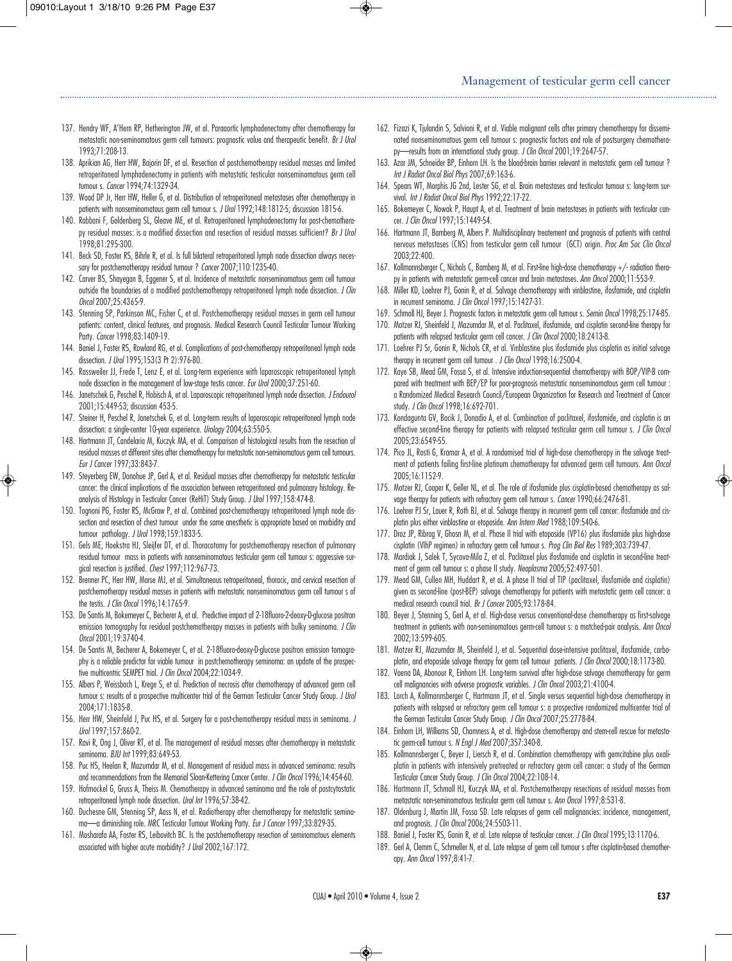- 137. Hendry WF, A'Hern RP, Hetherington JW, et al. Paraaortic lymphadenectomy after chemotherapy for metastatic non-seminomatous germ cell tumours: prognostic value and therapeutic benefit. *Br J Urol* 1993;71:208-13.
- 138. Aprikian AG, Herr HW, Bajorin DF, et al. Resection of postchemotherapy residual masses and limited retroperitoneal lymphadenectomy in patients with metastatic testicular nonseminomatous germ cell tumour s. *Cancer* 1994;74:1329-34.
- 139. Wood DP Jr, Herr HW, Heller G, et al. Distribution of retroperitoneal metastases after chemotherapy in patients with nonseminomatous germ cell tumour s. *J Urol* 1992;148:1812-5; discussion 1815-6.
- 140. Rabbani F, Goldenberg SL, Gleave ME, et al. Retroperitoneal lymphadenectomy for post-chemotherapy residual masses: is a modified dissection and resection of residual masses sufficient? *Br J Urol* 1998;81:295-300.
- 141. Beck SD, Foster RS, Bihrle R, et al. Is full bilateral retroperitoneal lymph node dissection always necessary for postchemotherapy residual tumour ? *Cancer* 2007;110:1235-40.
- 142. Carver BS, Shayegan B, Eggener S, et al. Incidence of metastatic nonseminomatous germ cell tumour outside the boundaries of a modified postchemotherapy retroperitoneal lymph node dissection. *J Clin Oncol* 2007;25:4365-9.
- 143. Stenning SP, Parkinson MC, Fisher C, et al. Postchemotherapy residual masses in germ cell tumour patients: content, clinical features, and prognosis. Medical Research Council Testicular Tumour Working Party. *Cancer* 1998;83:1409-19.
- 144. Baniel J, Foster RS, Rowland RG, et al. Complications of post-chemotherapy retroperitoneal lymph node dissection. *J Urol* 1995;153(3 Pt 2):976-80.
- 145. Rassweiler JJ, Frede T, Lenz E, et al. Long-term experience with laparoscopic retroperitoneal lymph node dissection in the management of low-stage testis cancer. *Eur Urol* 2000;37:251-60.
- 146. Janetschek G, Peschel R, Hobisch A, et al. Laparoscopic retroperitoneal lymph node dissection. *J Endourol* 2001;15:449-53; discussion 453-5.
- 147. Steiner H, Peschel R, Janetschek G, et al. Long-term results of laparoscopic retroperitoneal lymph node dissection: a single-center 10-year experience. *Urology* 2004;63:550-5.
- 148. Hartmann JT, Candelaria M, Kuczyk MA, et al. Comparison of histological results from the resection of residual masses at different sites after chemotherapy for metastatic non-seminomatous germ cell tumours. *Eur J Cancer* 1997;33:843-7.
- 149. Steyerberg EW, Donohue JP, Gerl A, et al. Residual masses after chemotherapy for metastatic testicular cancer: the clinical implications of the association between retroperitoneal and pulmonary histology. Reanalysis of Histology in Testicular Cancer (ReHiT) Study Group. *J Urol* 1997;158:474-8.
- 150. Tognoni PG, Foster RS, McGraw P, et al. Combined post-chemotherapy retroperitoneal lymph node dissection and resection of chest tumour under the same anesthetic is appropriate based on morbidity and tumour pathology. *J Urol* 1998;159:1833-5.
- 151. Gels ME, Hoekstra HJ, Sleijfer DT, et al. Thoracotomy for postchemotherapy resection of pulmonary residual tumour mass in patients with nonseminomatous testicular germ cell tumour s: aggressive surgical resection is justified. *Chest* 1997;112:967-73.
- 152. Brenner PC, Herr HW, Morse MJ, et al. Simultaneous retroperitoneal, thoracic, and cervical resection of postchemotherapy residual masses in patients with metastatic nonseminomatous germ cell tumour s of the testis. *J Clin Oncol* 1996;14:1765-9.
- 153. De Santis M, Bokemeyer C, Becherer A, et al. Predictive impact of 2-18fluoro-2-deoxy-D-glucose positron emission tomography for residual postchemotherapy masses in patients with bulky seminoma. *J Clin Oncol* 2001;19:3740-4.
- 154. De Santis M, Becherer A, Bokemeyer C, et al. 2-18fluoro-deoxy-D-glucose positron emission tomography is a reliable predictor for viable tumour in postchemotherapy seminoma: an update of the prospective multicentric SEMPET trial. *J Clin Oncol* 2004;22:1034-9.
- 155. Albers P, Weissbach L, Krege S, et al. Prediction of necrosis after chemotherapy of advanced germ cell tumour s: results of a prospective multicenter trial of the German Testicular Cancer Study Group. *J Urol* 2004;171:1835-8.
- 156. Herr HW, Sheinfeld J, Puc HS, et al. Surgery for a post-chemotherapy residual mass in seminoma. *J Urol* 1997;157:860-2.
- 157. Ravi R, Ong J, Oliver RT, et al. The management of residual masses after chemotherapy in metastatic seminoma. *BJU Int* 1999;83:649-53.
- 158. Puc HS, Heelan R, Mazumdar M, et al. Management of residual mass in advanced seminoma: results and recommendations from the Memorial Sloan-Kettering Cancer Center. *J Clin Oncol* 1996;14:454-60.
- 159. Hofmockel G, Gruss A, Theiss M. Chemotherapy in advanced seminoma and the role of postcytostatic retroperitoneal lymph node dissection. *Urol Int* 1996;57:38-42.
- 160. Duchesne GM, Stenning SP, Aass N, et al. Radiotherapy after chemotherapy for metastatic seminoma—a diminishing role. MRC Testicular Tumour Working Party. *Eur J Cancer* 1997;33:829-35.
- 161. Mosharafa AA, Foster RS, Leibovitch BC. Is the postchemotherapy resection of seminomatous elements associated with higher acute morbidity? *J Urol* 2002;167:172.

162. Fizazi K, Tjulandin S, Salvioni R, et al. Viable malignant cells after primary chemotherapy for disseminated nonseminomatous germ cell tumour s: prognostic factors and role of postsurgery chemotherapy—results from an international study group. *J Clin Oncol* 2001;19:2647-57.

- 163. Azar JM, Schneider BP, Einhorn LH. Is the blood-brain barrier relevant in metastatic germ cell tumour ? *Int J Radiat Oncol Biol Phys* 2007;69:163-6.
- 164. Spears WT, Morphis JG 2nd, Lester SG, et al. Brain metastases and testicular tumour s: long-term survival. *Int J Radiat Oncol Biol Phys* 1992;22:17-22.
- 165. Bokemeyer C, Nowak P, Haupt A, et al. Treatment of brain metastases in patients with testicular cancer. *J Clin Oncol* 1997;15:1449-54.
- 166. Hartmann JT, Bamberg M, Albers P. Multidisciplinary treatement and prognosis of patients with central nervous metastases (CNS) from testicular germ cell tumour (GCT) origin. *Proc Am Soc Clin Oncol* 2003;22:400.
- 167. Kollmannsberger C, Nichols C, Bamberg M, et al. First-line high-dose chemotherapy +/- radiation therapy in patients with metastatic germ-cell cancer and brain metastases. *Ann Oncol* 2000;11:553-9.
- 168. Miller KD, Loehrer PJ, Gonin R, et al. Salvage chemotherapy with vinblastine, ifosfamide, and cisplatin in recurrent seminoma. *J Clin Oncol* 1997;15:1427-31.
- 169. Schmoll HJ, Beyer J. Prognostic factors in metastatic germ cell tumour s. *Semin Oncol* 1998;25:174-85. 170. Motzer RJ, Sheinfeld J, Mazumdar M, et al. Paclitaxel, ifosfamide, and cisplatin second-line therapy for patients with relapsed testicular germ cell cancer. *J Clin Oncol* 2000;18:2413-8.
- 171. Loehrer PJ Sr, Gonin R, Nichols CR, et al. Vinblastine plus ifosfamide plus cisplatin as initial salvage therapy in recurrent germ cell tumour . *J Clin Oncol* 1998;16:2500-4.
- 172. Kaye SB, Mead GM, Fossa S, et al. Intensive induction-sequential chemotherapy with BOP/VIP-B compared with treatment with BEP/EP for poor-prognosis metastatic nonseminomatous germ cell tumour : a Randomized Medical Research Council/European Organization for Research and Treatment of Cancer study. *J Clin Oncol* 1998;16:692-701.
- 173. Kondagunta GV, Bacik J, Donadio A, et al. Combination of paclitaxel, ifosfamide, and cisplatin is an effective second-line therapy for patients with relapsed testicular germ cell tumour s. *J Clin Oncol* 2005;23:6549-55.
- 174. Pico JL, Rosti G, Kramar A, et al. A randomised trial of high-dose chemotherapy in the salvage treatment of patients failing first-line platinum chemotherapy for advanced germ cell tumours. *Ann Oncol* 2005;16:1152-9.
- 175. Motzer RJ, Cooper K, Geller NL, et al. The role of ifosfamide plus cisplatin-based chemotherapy as salvage therapy for patients with refractory germ cell tumour s. *Cancer* 1990;66:2476-81.
- 176. Loehrer PJ Sr, Lauer R, Roth BJ, et al. Salvage therapy in recurrent germ cell cancer: ifosfamide and cisplatin plus either vinblastine or etoposide. *Ann Intern Med* 1988;109:540-6.
- 177. Droz JP, Ribrag V, Ghosn M, et al. Phase II trial with etoposide (VP16) plus ifosfamide plus high-dose cisplatin (VIhP regimen) in refractory germ cell tumour s. *Prog Clin Biol Res* 1989;303:739-47.
- 178. Mardiak J, Salek T, Sycova-Mila Z, et al. Paclitaxel plus ifosfamide and cisplatin in second-line treatment of germ cell tumour s: a phase II study. *Neoplasma* 2005;52:497-501.
- 179. Mead GM, Cullen MH, Huddart R, et al. A phase II trial of TIP (paclitaxel, ifosfamide and cisplatin) given as second-line (post-BEP) salvage chemotherapy for patients with metastatic germ cell cancer: a medical research council trial. *Br J Cancer* 2005;93:178-84.
- 180. Beyer J, Stenning S, Gerl A, et al. High-dose versus conventional-dose chemotherapy as first-salvage treatment in patients with non-seminomatous germ-cell tumour s: a matched-pair analysis. *Ann Oncol* 2002;13:599-605.
- 181. Motzer RJ, Mazumdar M, Sheinfeld J, et al. Sequential dose-intensive paclitaxel, ifosfamide, carboplatin, and etoposide salvage therapy for germ cell tumour patients. *J Clin Oncol* 2000;18:1173-80.
- 182. Vaena DA, Abonour R, Einhorn LH. Long-term survival after high-dose salvage chemotherapy for germ cell malignancies with adverse prognostic variables. *J Clin Oncol* 2003;21:4100-4.
- 183. Lorch A, Kollmannsberger C, Hartmann JT, et al. Single versus sequential high-dose chemotherapy in patients with relapsed or refractory germ cell tumour s: a prospective randomized multicenter trial of the German Testicular Cancer Study Group. *J Clin Oncol* 2007;25:2778-84.
- 184. Einhorn LH, Williams SD, Chamness A, et al. High-dose chemotherapy and stem-cell rescue for metastatic germ-cell tumour s. *N Engl J Med* 2007;357:340-8.
- 185. Kollmannsberger C, Beyer J, Liersch R, et al. Combination chemotherapy with gemcitabine plus oxaliplatin in patients with intensively pretreated or refractory germ cell cancer: a study of the German Testicular Cancer Study Group. *J Clin Oncol* 2004;22:108-14.
- 186. Hartmann JT, Schmoll HJ, Kuczyk MA, et al. Postchemotherapy resections of residual masses from metastatic non-seminomatous testicular germ cell tumour s. *Ann Oncol* 1997;8:531-8.
- 187. Oldenburg J, Martin JM, Fossa SD. Late relapses of germ cell malignancies: incidence, management, and prognosis. *J Clin Oncol* 2006;24:5503-11.
- 188. Baniel J, Foster RS, Gonin R, et al. Late relapse of testicular cancer. *J Clin Oncol* 1995;13:1170-6.
- 189. Gerl A, Clemm C, Schmeller N, et al. Late relapse of germ cell tumour s after cisplatin-based chemotherapy. *Ann Oncol* 1997;8:41-7.